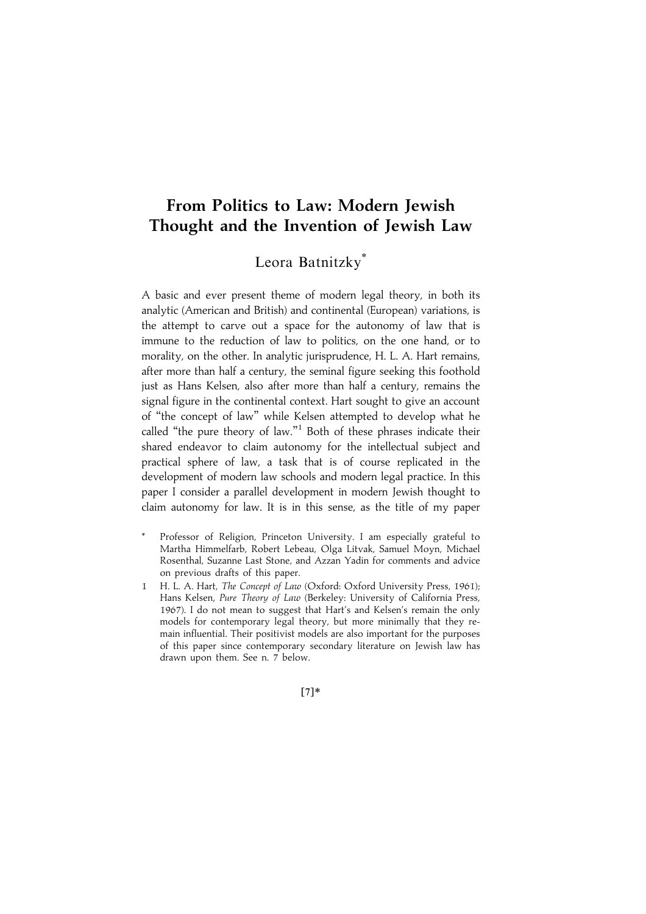# From Politics to Law: Modern Jewish Thought and the Invention of Jewish Law

# Leora Batnitzky\*

A basic and ever present theme of modern legal theory, in both its analytic (American and British) and continental (European) variations, is the attempt to carve out a space for the autonomy of law that is immune to the reduction of law to politics, on the one hand, or to morality, on the other. In analytic jurisprudence, H. L. A. Hart remains, after more than half a century, the seminal figure seeking this foothold just as Hans Kelsen, also after more than half a century, remains the signal figure in the continental context. Hart sought to give an account of ''the concept of law'' while Kelsen attempted to develop what he called "the pure theory of law."<sup>1</sup> Both of these phrases indicate their shared endeavor to claim autonomy for the intellectual subject and practical sphere of law, a task that is of course replicated in the development of modern law schools and modern legal practice. In this paper I consider a parallel development in modern Jewish thought to claim autonomy for law. It is in this sense, as the title of my paper

- Professor of Religion, Princeton University. I am especially grateful to Martha Himmelfarb, Robert Lebeau, Olga Litvak, Samuel Moyn, Michael Rosenthal, Suzanne Last Stone, and Azzan Yadin for comments and advice on previous drafts of this paper.
- 1 H. L. A. Hart, The Concept of Law (Oxford: Oxford University Press, 1961); Hans Kelsen, Pure Theory of Law (Berkeley: University of California Press, 1967). I do not mean to suggest that Hart's and Kelsen's remain the only models for contemporary legal theory, but more minimally that they remain influential. Their positivist models are also important for the purposes of this paper since contemporary secondary literature on Jewish law has drawn upon them. See n. 7 below.

 $[7]*$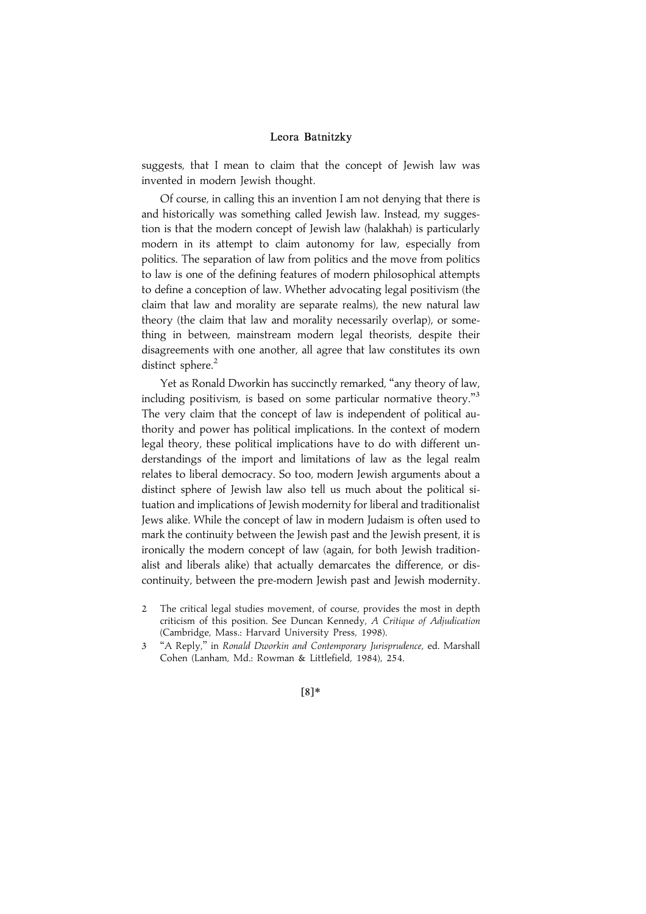suggests, that I mean to claim that the concept of Jewish law was invented in modern Jewish thought.

Of course, in calling this an invention I am not denying that there is and historically was something called Jewish law. Instead, my suggestion is that the modern concept of Jewish law (halakhah) is particularly modern in its attempt to claim autonomy for law, especially from politics. The separation of law from politics and the move from politics to law is one of the defining features of modern philosophical attempts to define a conception of law. Whether advocating legal positivism (the claim that law and morality are separate realms), the new natural law theory (the claim that law and morality necessarily overlap), or something in between, mainstream modern legal theorists, despite their disagreements with one another, all agree that law constitutes its own distinct sphere.<sup>2</sup>

Yet as Ronald Dworkin has succinctly remarked, "any theory of law, including positivism, is based on some particular normative theory."<sup>3</sup> The very claim that the concept of law is independent of political authority and power has political implications. In the context of modern legal theory, these political implications have to do with different understandings of the import and limitations of law as the legal realm relates to liberal democracy. So too, modern Jewish arguments about a distinct sphere of Jewish law also tell us much about the political situation and implications of Jewish modernity for liberal and traditionalist Jews alike. While the concept of law in modern Judaism is often used to mark the continuity between the Jewish past and the Jewish present, it is ironically the modern concept of law (again, for both Jewish traditionalist and liberals alike) that actually demarcates the difference, or discontinuity, between the pre-modern Jewish past and Jewish modernity.

<sup>3</sup> ''A Reply,'' in Ronald Dworkin and Contemporary Jurisprudence, ed. Marshall Cohen (Lanham, Md.: Rowman & Littlefield, 1984), 254.



<sup>2</sup> The critical legal studies movement, of course, provides the most in depth criticism of this position. See Duncan Kennedy, A Critique of Adjudication (Cambridge, Mass.: Harvard University Press, 1998).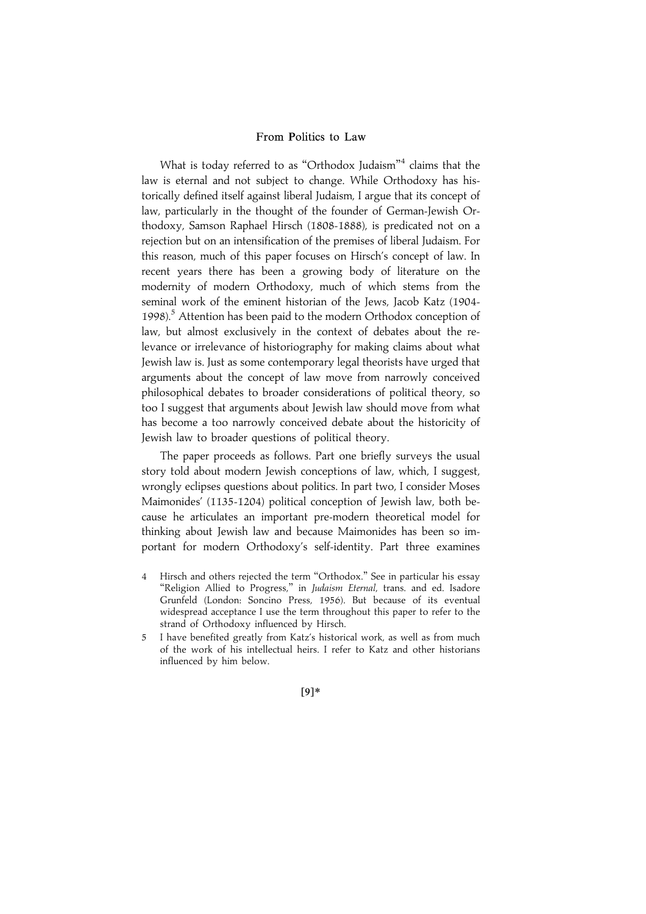What is today referred to as ''Orthodox Judaism'' <sup>4</sup> claims that the law is eternal and not subject to change. While Orthodoxy has historically defined itself against liberal Judaism, I argue that its concept of law, particularly in the thought of the founder of German-Jewish Orthodoxy, Samson Raphael Hirsch (1808-1888), is predicated not on a rejection but on an intensification of the premises of liberal Judaism. For this reason, much of this paper focuses on Hirsch's concept of law. In recent years there has been a growing body of literature on the modernity of modern Orthodoxy, much of which stems from the seminal work of the eminent historian of the Jews, Jacob Katz (1904- 1998).<sup>5</sup> Attention has been paid to the modern Orthodox conception of law, but almost exclusively in the context of debates about the relevance or irrelevance of historiography for making claims about what Jewish law is. Just as some contemporary legal theorists have urged that arguments about the concept of law move from narrowly conceived philosophical debates to broader considerations of political theory, so too I suggest that arguments about Jewish law should move from what has become a too narrowly conceived debate about the historicity of Jewish law to broader questions of political theory.

The paper proceeds as follows. Part one briefly surveys the usual story told about modern Jewish conceptions of law, which, I suggest, wrongly eclipses questions about politics. In part two, I consider Moses Maimonides' (1135-1204) political conception of Jewish law, both because he articulates an important pre-modern theoretical model for thinking about Jewish law and because Maimonides has been so important for modern Orthodoxy's self-identity. Part three examines

- Hirsch and others rejected the term "Orthodox." See in particular his essay "Religion Allied to Progress," in Judaism Eternal, trans. and ed. Isadore Grunfeld (London: Soncino Press, 1956). But because of its eventual widespread acceptance I use the term throughout this paper to refer to the strand of Orthodoxy influenced by Hirsch.
- 5 I have benefited greatly from Katz's historical work, as well as from much of the work of his intellectual heirs. I refer to Katz and other historians influenced by him below.

|9~\*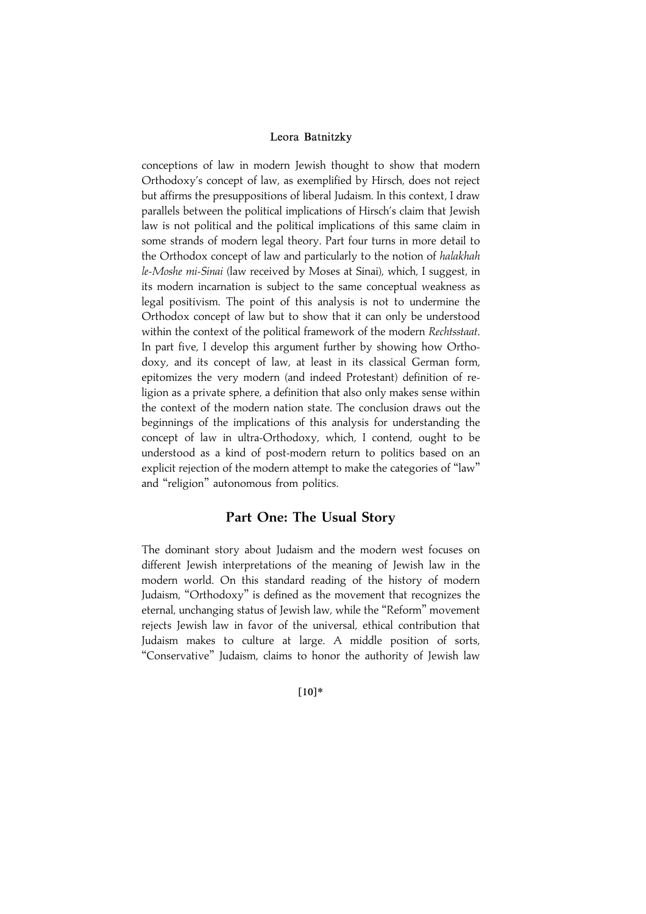conceptions of law in modern Jewish thought to show that modern Orthodoxy's concept of law, as exemplified by Hirsch, does not reject but affirms the presuppositions of liberal Judaism. In this context, I draw parallels between the political implications of Hirsch's claim that Jewish law is not political and the political implications of this same claim in some strands of modern legal theory. Part four turns in more detail to the Orthodox concept of law and particularly to the notion of halakhah le-Moshe mi-Sinai (law received by Moses at Sinai), which, I suggest, in its modern incarnation is subject to the same conceptual weakness as legal positivism. The point of this analysis is not to undermine the Orthodox concept of law but to show that it can only be understood within the context of the political framework of the modern Rechtsstaat. In part five, I develop this argument further by showing how Orthodoxy, and its concept of law, at least in its classical German form, epitomizes the very modern (and indeed Protestant) definition of religion as a private sphere, a definition that also only makes sense within the context of the modern nation state. The conclusion draws out the beginnings of the implications of this analysis for understanding the concept of law in ultra-Orthodoxy, which, I contend, ought to be understood as a kind of post-modern return to politics based on an explicit rejection of the modern attempt to make the categories of ''law'' and ''religion'' autonomous from politics.

## Part One: The Usual Story

The dominant story about Judaism and the modern west focuses on different Jewish interpretations of the meaning of Jewish law in the modern world. On this standard reading of the history of modern Judaism, ''Orthodoxy'' is defined as the movement that recognizes the eternal, unchanging status of Jewish law, while the ''Reform'' movement rejects Jewish law in favor of the universal, ethical contribution that Judaism makes to culture at large. A middle position of sorts, ''Conservative'' Judaism, claims to honor the authority of Jewish law

## $[10]*$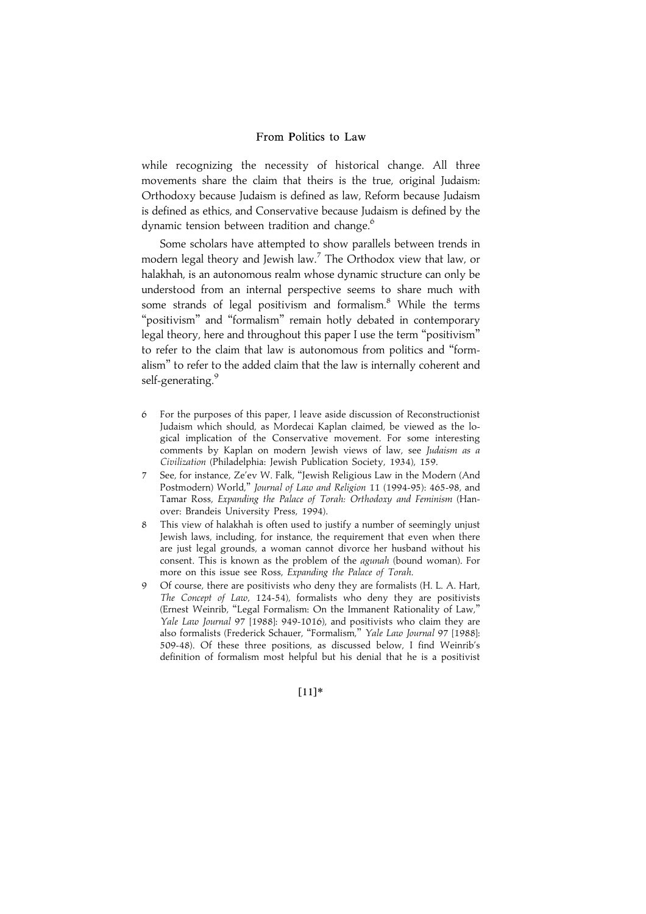while recognizing the necessity of historical change. All three movements share the claim that theirs is the true, original Judaism: Orthodoxy because Judaism is defined as law, Reform because Judaism is defined as ethics, and Conservative because Judaism is defined by the dynamic tension between tradition and change.<sup>6</sup>

Some scholars have attempted to show parallels between trends in modern legal theory and Jewish law.<sup>7</sup> The Orthodox view that law, or halakhah, is an autonomous realm whose dynamic structure can only be understood from an internal perspective seems to share much with some strands of legal positivism and formalism.<sup>8</sup> While the terms "positivism" and "formalism" remain hotly debated in contemporary legal theory, here and throughout this paper I use the term "positivism" to refer to the claim that law is autonomous from politics and ''formalism'' to refer to the added claim that the law is internally coherent and self-generating.<sup>9</sup>

- 6 For the purposes of this paper, I leave aside discussion of Reconstructionist Judaism which should, as Mordecai Kaplan claimed, be viewed as the logical implication of the Conservative movement. For some interesting comments by Kaplan on modern Jewish views of law, see Judaism as a Civilization (Philadelphia: Jewish Publication Society, 1934), 159.
- 7 See, for instance, Ze'ev W. Falk, ''Jewish Religious Law in the Modern (And Postmodern) World,'' Journal of Law and Religion 11 (1994-95): 465-98, and Tamar Ross, Expanding the Palace of Torah: Orthodoxy and Feminism (Hanover: Brandeis University Press, 1994).
- 8 This view of halakhah is often used to justify a number of seemingly unjust Jewish laws, including, for instance, the requirement that even when there are just legal grounds, a woman cannot divorce her husband without his consent. This is known as the problem of the agunah (bound woman). For more on this issue see Ross, Expanding the Palace of Torah.
- 9 Of course, there are positivists who deny they are formalists (H. L. A. Hart, The Concept of Law, 124-54), formalists who deny they are positivists (Ernest Weinrib, ''Legal Formalism: On the Immanent Rationality of Law,'' Yale Law Journal 97 [1988]: 949-1016), and positivists who claim they are also formalists (Frederick Schauer, "Formalism," Yale Law Journal 97 [1988]: 509-48). Of these three positions, as discussed below, I find Weinrib's definition of formalism most helpful but his denial that he is a positivist

 $[11]*$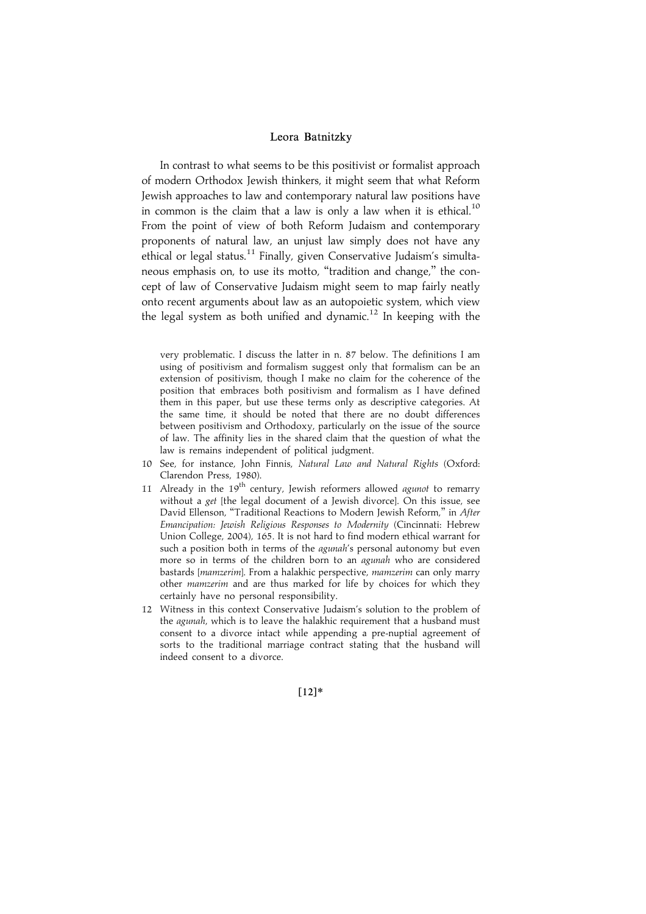In contrast to what seems to be this positivist or formalist approach of modern Orthodox Jewish thinkers, it might seem that what Reform Jewish approaches to law and contemporary natural law positions have in common is the claim that a law is only a law when it is ethical.<sup>10</sup> From the point of view of both Reform Judaism and contemporary proponents of natural law, an unjust law simply does not have any ethical or legal status.<sup>11</sup> Finally, given Conservative Judaism's simultaneous emphasis on, to use its motto, "tradition and change," the concept of law of Conservative Judaism might seem to map fairly neatly onto recent arguments about law as an autopoietic system, which view the legal system as both unified and dynamic.<sup>12</sup> In keeping with the

very problematic. I discuss the latter in n. 87 below. The definitions I am using of positivism and formalism suggest only that formalism can be an extension of positivism, though I make no claim for the coherence of the position that embraces both positivism and formalism as I have defined them in this paper, but use these terms only as descriptive categories. At the same time, it should be noted that there are no doubt differences between positivism and Orthodoxy, particularly on the issue of the source of law. The affinity lies in the shared claim that the question of what the law is remains independent of political judgment.

- 10 See, for instance, John Finnis, Natural Law and Natural Rights (Oxford: Clarendon Press, 1980).
- 11 Already in the 19<sup>th</sup> century, Jewish reformers allowed agunot to remarry without a get [the legal document of a Jewish divorce]. On this issue, see David Ellenson, "Traditional Reactions to Modern Jewish Reform," in After Emancipation: Jewish Religious Responses to Modernity (Cincinnati: Hebrew Union College, 2004), 165. It is not hard to find modern ethical warrant for such a position both in terms of the agunah's personal autonomy but even more so in terms of the children born to an agunah who are considered bastards [mamzerim]. From a halakhic perspective, mamzerim can only marry other mamzerim and are thus marked for life by choices for which they certainly have no personal responsibility.
- 12 Witness in this context Conservative Judaism's solution to the problem of the agunah, which is to leave the halakhic requirement that a husband must consent to a divorce intact while appending a pre-nuptial agreement of sorts to the traditional marriage contract stating that the husband will indeed consent to a divorce.

 $[12]*$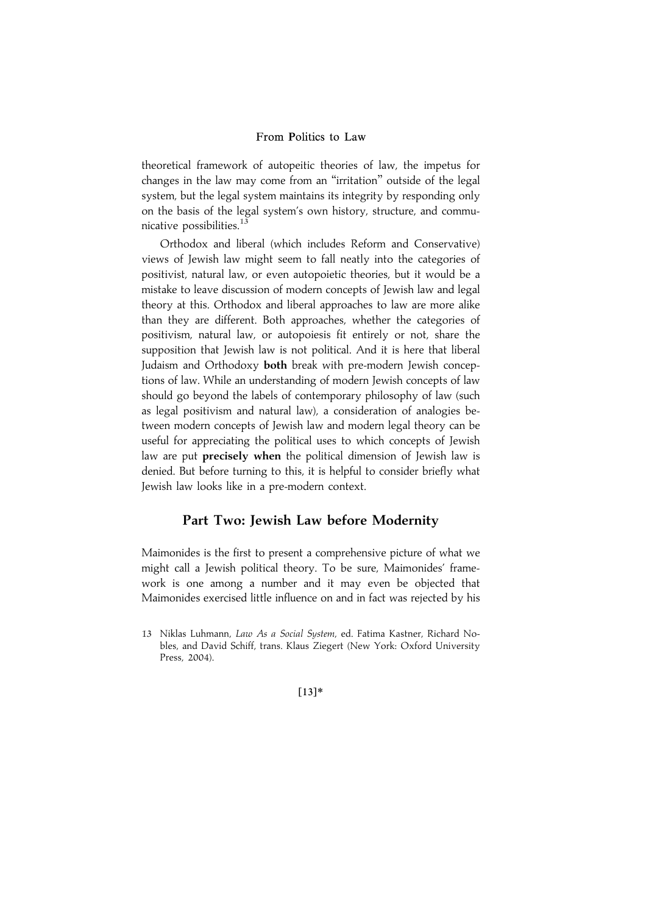theoretical framework of autopeitic theories of law, the impetus for changes in the law may come from an ''irritation'' outside of the legal system, but the legal system maintains its integrity by responding only on the basis of the legal system's own history, structure, and communicative possibilities.<sup>13</sup>

Orthodox and liberal (which includes Reform and Conservative) views of Jewish law might seem to fall neatly into the categories of positivist, natural law, or even autopoietic theories, but it would be a mistake to leave discussion of modern concepts of Jewish law and legal theory at this. Orthodox and liberal approaches to law are more alike than they are different. Both approaches, whether the categories of positivism, natural law, or autopoiesis fit entirely or not, share the supposition that Jewish law is not political. And it is here that liberal Judaism and Orthodoxy both break with pre-modern Jewish conceptions of law. While an understanding of modern Jewish concepts of law should go beyond the labels of contemporary philosophy of law (such as legal positivism and natural law), a consideration of analogies between modern concepts of Jewish law and modern legal theory can be useful for appreciating the political uses to which concepts of Jewish law are put **precisely when** the political dimension of Jewish law is denied. But before turning to this, it is helpful to consider briefly what Jewish law looks like in a pre-modern context.

## Part Two: Jewish Law before Modernity

Maimonides is the first to present a comprehensive picture of what we might call a Jewish political theory. To be sure, Maimonides' framework is one among a number and it may even be objected that Maimonides exercised little influence on and in fact was rejected by his

 $[13]*$ 

<sup>13</sup> Niklas Luhmann, Law As a Social System, ed. Fatima Kastner, Richard Nobles, and David Schiff, trans. Klaus Ziegert (New York: Oxford University Press, 2004).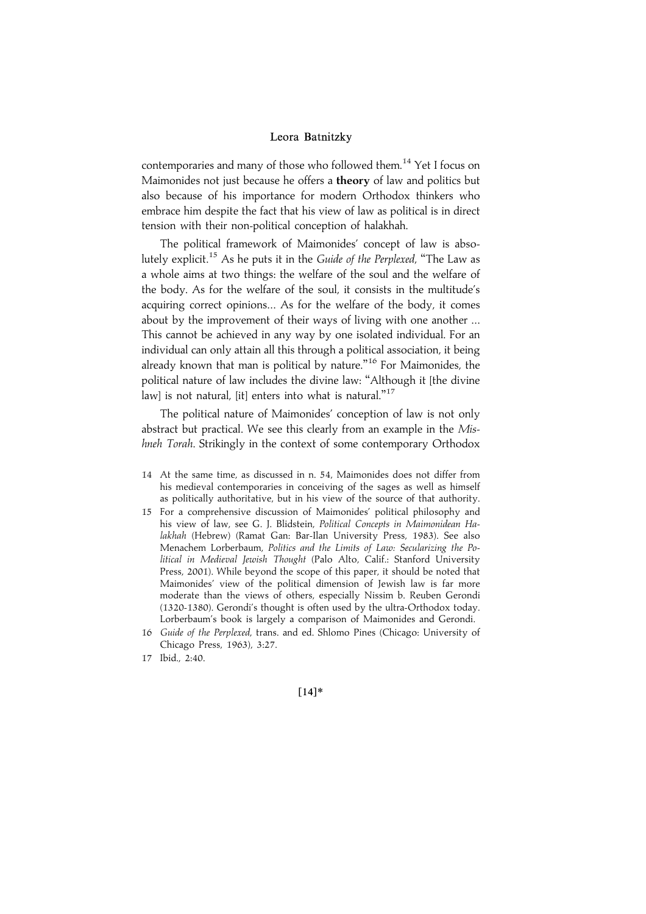contemporaries and many of those who followed them.<sup>14</sup> Yet I focus on Maimonides not just because he offers a theory of law and politics but also because of his importance for modern Orthodox thinkers who embrace him despite the fact that his view of law as political is in direct tension with their non-political conception of halakhah.

The political framework of Maimonides' concept of law is absolutely explicit.<sup>15</sup> As he puts it in the Guide of the Perplexed, "The Law as a whole aims at two things: the welfare of the soul and the welfare of the body. As for the welfare of the soul, it consists in the multitude's acquiring correct opinions... As for the welfare of the body, it comes about by the improvement of their ways of living with one another ... This cannot be achieved in any way by one isolated individual. For an individual can only attain all this through a political association, it being already known that man is political by nature."<sup>16</sup> For Maimonides, the political nature of law includes the divine law: ''Although it [the divine .<br>law] is not natural, [it] enters into what is natural."<sup>17</sup>

The political nature of Maimonides' conception of law is not only abstract but practical. We see this clearly from an example in the  $M$ ishneh Torah. Strikingly in the context of some contemporary Orthodox

- 14 At the same time, as discussed in n. 54, Maimonides does not differ from his medieval contemporaries in conceiving of the sages as well as himself as politically authoritative, but in his view of the source of that authority.
- 15 For a comprehensive discussion of Maimonides' political philosophy and his view of law, see G. J. Blidstein, Political Concepts in Maimonidean Halakhah (Hebrew) (Ramat Gan: Bar-Ilan University Press, 1983). See also Menachem Lorberbaum, Politics and the Limits of Law: Secularizing the Political in Medieval Jewish Thought (Palo Alto, Calif.: Stanford University Press, 2001). While beyond the scope of this paper, it should be noted that Maimonides' view of the political dimension of Jewish law is far more moderate than the views of others, especially Nissim b. Reuben Gerondi (1320-1380). Gerondi's thought is often used by the ultra-Orthodox today. Lorberbaum's book is largely a comparison of Maimonides and Gerondi.
- 16 Guide of the Perplexed, trans. and ed. Shlomo Pines (Chicago: University of Chicago Press, 1963), 3:27.
- 17 Ibid., 2:40.

 $[14]*$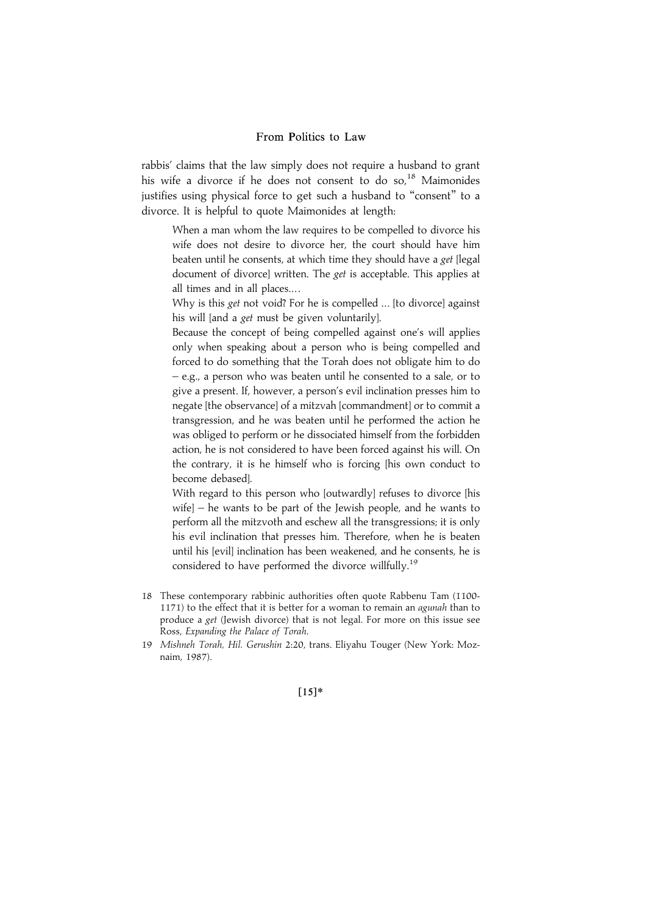rabbis' claims that the law simply does not require a husband to grant his wife a divorce if he does not consent to do so,<sup>18</sup> Maimonides justifies using physical force to get such a husband to "consent" to a divorce. It is helpful to quote Maimonides at length:

When a man whom the law requires to be compelled to divorce his wife does not desire to divorce her, the court should have him beaten until he consents, at which time they should have a get [legal document of divorce] written. The *get* is acceptable. This applies at all times and in all places... .

Why is this get not void? For he is compelled ... [to divorce] against his will [and a get must be given voluntarily].

Because the concept of being compelled against one's will applies only when speaking about a person who is being compelled and forced to do something that the Torah does not obligate him to do – e.g., a person who was beaten until he consented to a sale, or to give a present. If, however, a person's evil inclination presses him to negate [the observance] of a mitzvah [commandment] or to commit a transgression, and he was beaten until he performed the action he was obliged to perform or he dissociated himself from the forbidden action, he is not considered to have been forced against his will. On the contrary, it is he himself who is forcing [his own conduct to become debased].

With regard to this person who [outwardly] refuses to divorce [his wife] – he wants to be part of the Jewish people, and he wants to perform all the mitzvoth and eschew all the transgressions; it is only his evil inclination that presses him. Therefore, when he is beaten until his [evil] inclination has been weakened, and he consents, he is considered to have performed the divorce willfully.<sup>19</sup>

- 18 These contemporary rabbinic authorities often quote Rabbenu Tam (1100- 1171) to the effect that it is better for a woman to remain an agunah than to produce a get (Jewish divorce) that is not legal. For more on this issue see Ross, Expanding the Palace of Torah.
- 19 Mishneh Torah, Hil. Gerushin 2:20, trans. Eliyahu Touger (New York: Moznaim, 1987).

 $[15]*$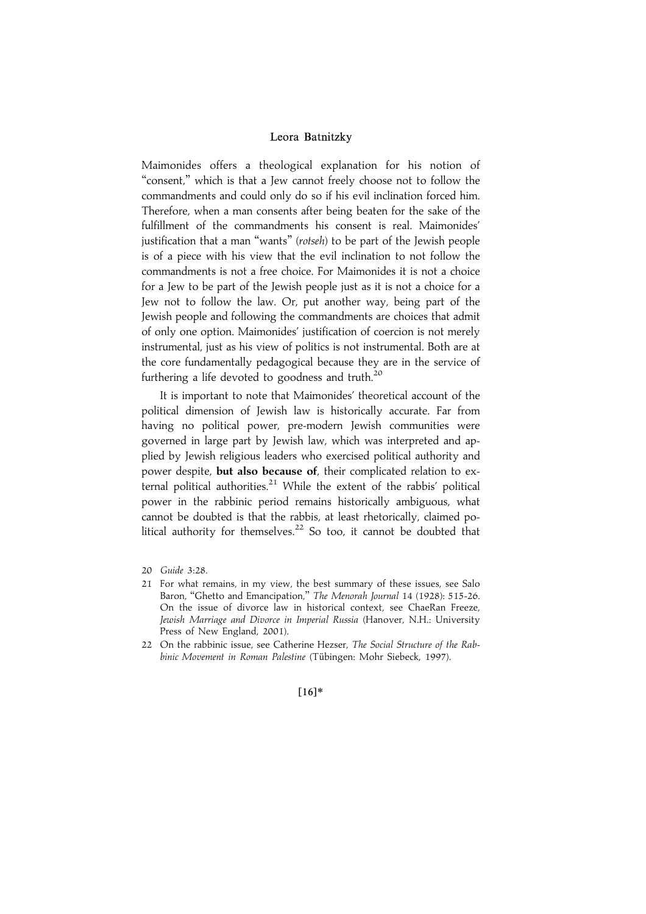Maimonides offers a theological explanation for his notion of "consent," which is that a Jew cannot freely choose not to follow the commandments and could only do so if his evil inclination forced him. Therefore, when a man consents after being beaten for the sake of the fulfillment of the commandments his consent is real. Maimonides' justification that a man "wants" (rotseh) to be part of the Jewish people is of a piece with his view that the evil inclination to not follow the commandments is not a free choice. For Maimonides it is not a choice for a Jew to be part of the Jewish people just as it is not a choice for a Jew not to follow the law. Or, put another way, being part of the Jewish people and following the commandments are choices that admit of only one option. Maimonides' justification of coercion is not merely instrumental, just as his view of politics is not instrumental. Both are at the core fundamentally pedagogical because they are in the service of furthering a life devoted to goodness and truth.<sup>20</sup>

It is important to note that Maimonides' theoretical account of the political dimension of Jewish law is historically accurate. Far from having no political power, pre-modern Jewish communities were governed in large part by Jewish law, which was interpreted and applied by Jewish religious leaders who exercised political authority and power despite, but also because of, their complicated relation to external political authorities. $21$  While the extent of the rabbis' political power in the rabbinic period remains historically ambiguous, what cannot be doubted is that the rabbis, at least rhetorically, claimed political authority for themselves.<sup>22</sup> So too, it cannot be doubted that

 $[16]*$ 

<sup>20</sup> Guide 3:28.

<sup>21</sup> For what remains, in my view, the best summary of these issues, see Salo Baron, "Ghetto and Emancipation," The Menorah Journal 14 (1928): 515-26. On the issue of divorce law in historical context, see ChaeRan Freeze, Jewish Marriage and Divorce in Imperial Russia (Hanover, N.H.: University Press of New England, 2001).

<sup>22</sup> On the rabbinic issue, see Catherine Hezser, The Social Structure of the Rabbinic Movement in Roman Palestine (Tübingen: Mohr Siebeck, 1997).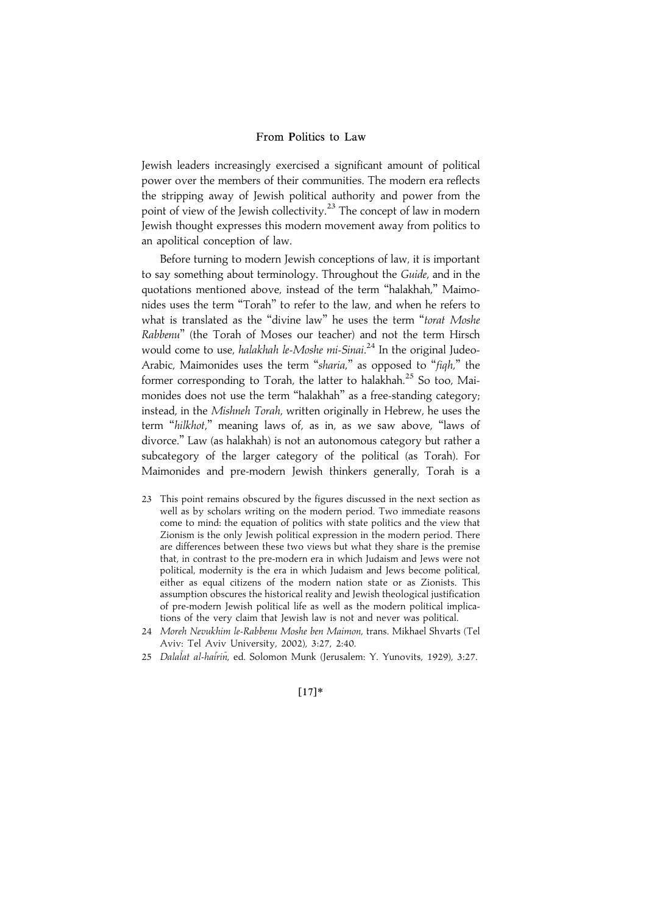Jewish leaders increasingly exercised a significant amount of political power over the members of their communities. The modern era reflects the stripping away of Jewish political authority and power from the point of view of the Jewish collectivity.<sup>23</sup> The concept of law in modern Jewish thought expresses this modern movement away from politics to an apolitical conception of law.

Before turning to modern Jewish conceptions of law, it is important to say something about terminology. Throughout the Guide, and in the quotations mentioned above, instead of the term ''halakhah,'' Maimonides uses the term ''Torah'' to refer to the law, and when he refers to what is translated as the "divine law" he uses the term "torat Moshe Rabbenu'' (the Torah of Moses our teacher) and not the term Hirsch would come to use, *halakhah le-Moshe mi-Sinai*.<sup>24</sup> In the original Judeo-Arabic, Maimonides uses the term "sharia," as opposed to "figh," the former corresponding to Torah, the latter to halakhah.<sup>25</sup> So too, Maimonides does not use the term ''halakhah'' as a free-standing category; instead, in the Mishneh Torah, written originally in Hebrew, he uses the term ''hilkhot,'' meaning laws of, as in, as we saw above, ''laws of divorce.'' Law (as halakhah) is not an autonomous category but rather a subcategory of the larger category of the political (as Torah). For Maimonides and pre-modern Jewish thinkers generally, Torah is a

- 23 This point remains obscured by the figures discussed in the next section as well as by scholars writing on the modern period. Two immediate reasons come to mind: the equation of politics with state politics and the view that Zionism is the only Jewish political expression in the modern period. There are differences between these two views but what they share is the premise that, in contrast to the pre-modern era in which Judaism and Jews were not political, modernity is the era in which Judaism and Jews become political, either as equal citizens of the modern nation state or as Zionists. This assumption obscures the historical reality and Jewish theological justification of pre-modern Jewish political life as well as the modern political implications of the very claim that Jewish law is not and never was political.
- 24 Moreh Nevukhim le-Rabbenu Moshe ben Maimon, trans. Mikhael Shvarts (Tel Aviv: Tel Aviv University, 2002), 3:27, 2:40.
- 25 Dalalat al-hairin, ed. Solomon Munk (Jerusalem: Y. Yunovits, 1929), 3:27.

## $[17]*$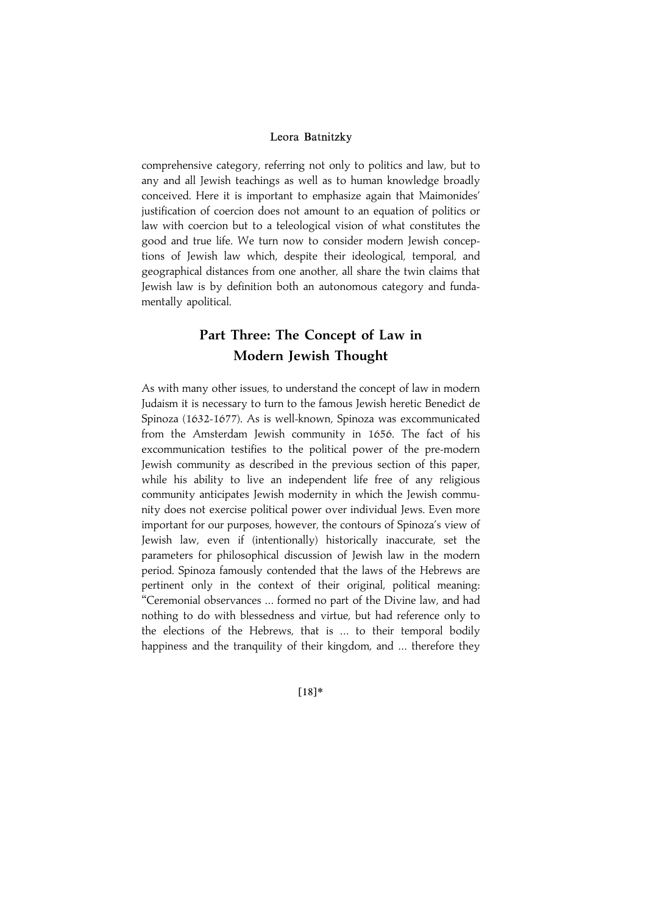comprehensive category, referring not only to politics and law, but to any and all Jewish teachings as well as to human knowledge broadly conceived. Here it is important to emphasize again that Maimonides' justification of coercion does not amount to an equation of politics or law with coercion but to a teleological vision of what constitutes the good and true life. We turn now to consider modern Jewish conceptions of Jewish law which, despite their ideological, temporal, and geographical distances from one another, all share the twin claims that Jewish law is by definition both an autonomous category and fundamentally apolitical.

# Part Three: The Concept of Law in Modern Jewish Thought

As with many other issues, to understand the concept of law in modern Judaism it is necessary to turn to the famous Jewish heretic Benedict de Spinoza (1632-1677). As is well-known, Spinoza was excommunicated from the Amsterdam Jewish community in 1656. The fact of his excommunication testifies to the political power of the pre-modern Jewish community as described in the previous section of this paper, while his ability to live an independent life free of any religious community anticipates Jewish modernity in which the Jewish community does not exercise political power over individual Jews. Even more important for our purposes, however, the contours of Spinoza's view of Jewish law, even if (intentionally) historically inaccurate, set the parameters for philosophical discussion of Jewish law in the modern period. Spinoza famously contended that the laws of the Hebrews are pertinent only in the context of their original, political meaning: ''Ceremonial observances ... formed no part of the Divine law, and had nothing to do with blessedness and virtue, but had reference only to the elections of the Hebrews, that is ... to their temporal bodily happiness and the tranquility of their kingdom, and ... therefore they

 $[18]*$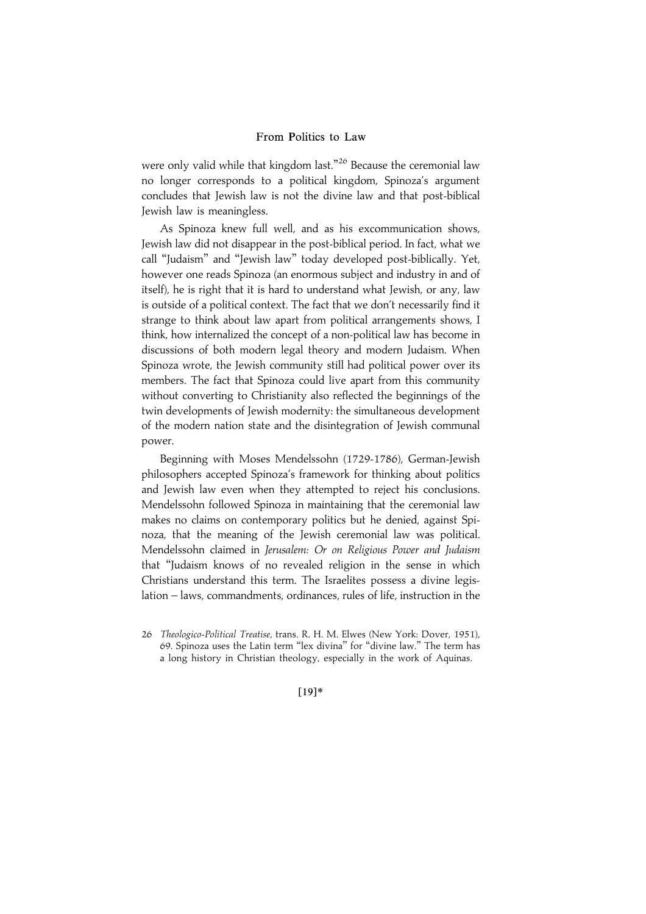were only valid while that kingdom last."<sup>26</sup> Because the ceremonial law no longer corresponds to a political kingdom, Spinoza's argument concludes that Jewish law is not the divine law and that post-biblical Jewish law is meaningless.

As Spinoza knew full well, and as his excommunication shows, Jewish law did not disappear in the post-biblical period. In fact, what we call ''Judaism'' and ''Jewish law'' today developed post-biblically. Yet, however one reads Spinoza (an enormous subject and industry in and of itself), he is right that it is hard to understand what Jewish, or any, law is outside of a political context. The fact that we don't necessarily find it strange to think about law apart from political arrangements shows, I think, how internalized the concept of a non-political law has become in discussions of both modern legal theory and modern Judaism. When Spinoza wrote, the Jewish community still had political power over its members. The fact that Spinoza could live apart from this community without converting to Christianity also reflected the beginnings of the twin developments of Jewish modernity: the simultaneous development of the modern nation state and the disintegration of Jewish communal power.

Beginning with Moses Mendelssohn (1729-1786), German-Jewish philosophers accepted Spinoza's framework for thinking about politics and Jewish law even when they attempted to reject his conclusions. Mendelssohn followed Spinoza in maintaining that the ceremonial law makes no claims on contemporary politics but he denied, against Spinoza, that the meaning of the Jewish ceremonial law was political. Mendelssohn claimed in Jerusalem: Or on Religious Power and Judaism that ''Judaism knows of no revealed religion in the sense in which Christians understand this term. The Israelites possess a divine legislation – laws, commandments, ordinances, rules of life, instruction in the

 $[19]*$ 

<sup>26</sup> Theologico-Political Treatise, trans. R. H. M. Elwes (New York: Dover, 1951), 69. Spinoza uses the Latin term ''lex divina'' for ''divine law.'' The term has a long history in Christian theology, especially in the work of Aquinas.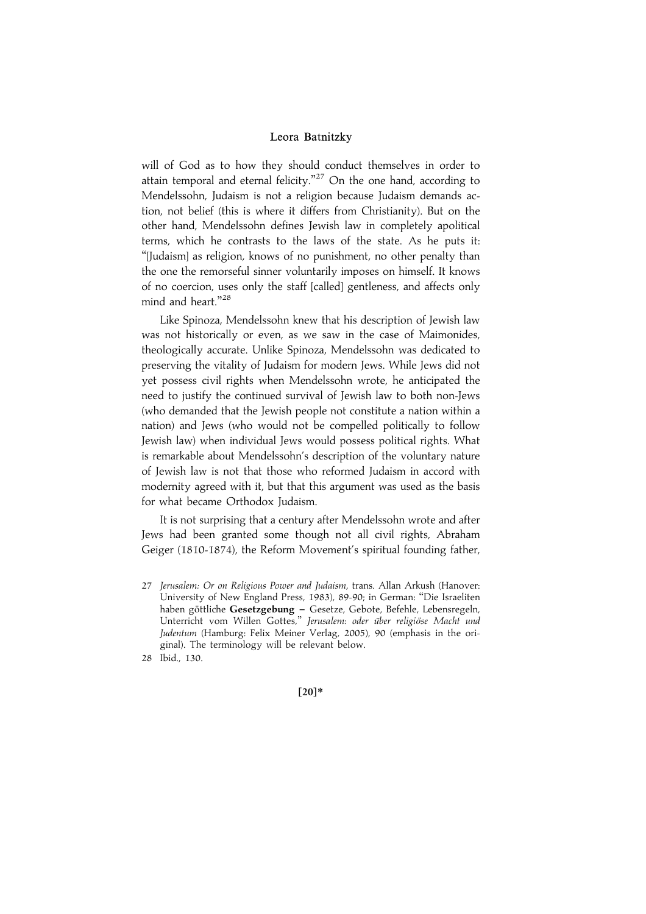will of God as to how they should conduct themselves in order to attain temporal and eternal felicity."<sup>27</sup> On the one hand, according to Mendelssohn, Judaism is not a religion because Judaism demands action, not belief (this is where it differs from Christianity). But on the other hand, Mendelssohn defines Jewish law in completely apolitical terms, which he contrasts to the laws of the state. As he puts it: ''[Judaism] as religion, knows of no punishment, no other penalty than the one the remorseful sinner voluntarily imposes on himself. It knows of no coercion, uses only the staff [called] gentleness, and affects only mind and heart."<sup>28</sup>

Like Spinoza, Mendelssohn knew that his description of Jewish law was not historically or even, as we saw in the case of Maimonides, theologically accurate. Unlike Spinoza, Mendelssohn was dedicated to preserving the vitality of Judaism for modern Jews. While Jews did not yet possess civil rights when Mendelssohn wrote, he anticipated the need to justify the continued survival of Jewish law to both non-Jews (who demanded that the Jewish people not constitute a nation within a nation) and Jews (who would not be compelled politically to follow Jewish law) when individual Jews would possess political rights. What is remarkable about Mendelssohn's description of the voluntary nature of Jewish law is not that those who reformed Judaism in accord with modernity agreed with it, but that this argument was used as the basis for what became Orthodox Judaism.

It is not surprising that a century after Mendelssohn wrote and after Jews had been granted some though not all civil rights, Abraham Geiger (1810-1874), the Reform Movement's spiritual founding father,

27 Jerusalem: Or on Religious Power and Judaism, trans. Allan Arkush (Hanover: University of New England Press, 1983), 89-90; in German: ''Die Israeliten haben göttliche **Gesetzgebung –** Gesetze, Gebote, Befehle, Lebensregeln, Unterricht vom Willen Gottes," Jerusalem: oder über religiöse Macht und Judentum (Hamburg: Felix Meiner Verlag, 2005), 90 (emphasis in the original). The terminology will be relevant below.

 $[20]*$ 

<sup>28</sup> Ibid., 130.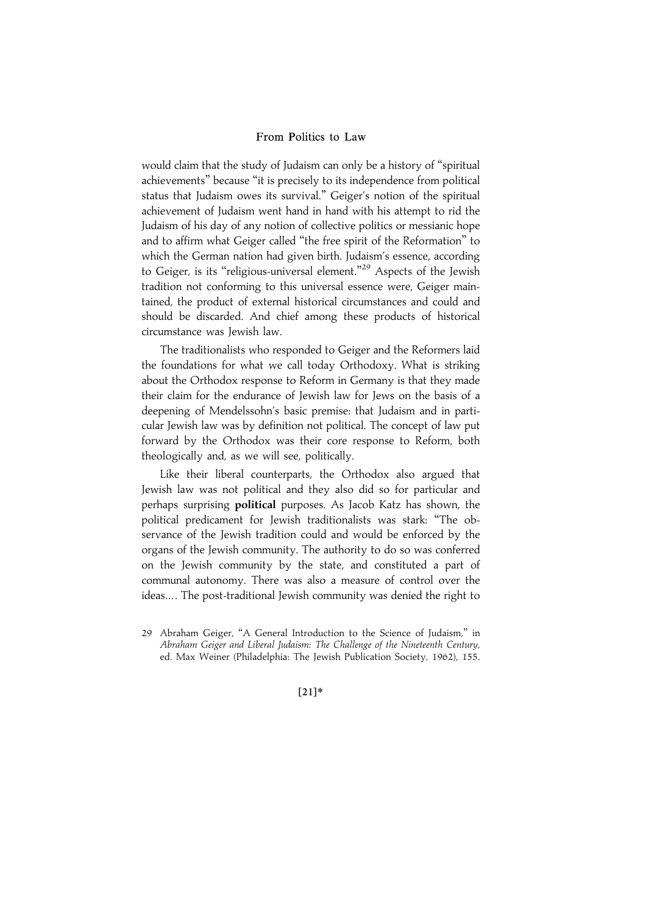would claim that the study of Judaism can only be a history of ''spiritual achievements'' because ''it is precisely to its independence from political status that Judaism owes its survival.'' Geiger's notion of the spiritual achievement of Judaism went hand in hand with his attempt to rid the Judaism of his day of any notion of collective politics or messianic hope and to affirm what Geiger called ''the free spirit of the Reformation'' to which the German nation had given birth. Judaism's essence, according to Geiger, is its "religious-universal element."<sup>29</sup> Aspects of the Jewish tradition not conforming to this universal essence were, Geiger maintained, the product of external historical circumstances and could and should be discarded. And chief among these products of historical circumstance was Jewish law.

The traditionalists who responded to Geiger and the Reformers laid the foundations for what we call today Orthodoxy. What is striking about the Orthodox response to Reform in Germany is that they made their claim for the endurance of Jewish law for Jews on the basis of a deepening of Mendelssohn's basic premise: that Judaism and in particular Jewish law was by definition not political. The concept of law put forward by the Orthodox was their core response to Reform, both theologically and, as we will see, politically.

Like their liberal counterparts, the Orthodox also argued that Jewish law was not political and they also did so for particular and perhaps surprising **political** purposes. As Jacob Katz has shown, the political predicament for Jewish traditionalists was stark: ''The observance of the Jewish tradition could and would be enforced by the organs of the Jewish community. The authority to do so was conferred on the Jewish community by the state, and constituted a part of communal autonomy. There was also a measure of control over the ideas... . The post-traditional Jewish community was denied the right to

 $[21]*$ 

<sup>29</sup> Abraham Geiger, ''A General Introduction to the Science of Judaism,'' in Abraham Geiger and Liberal Judaism: The Challenge of the Nineteenth Century, ed. Max Weiner (Philadelphia: The Jewish Publication Society, 1962), 155.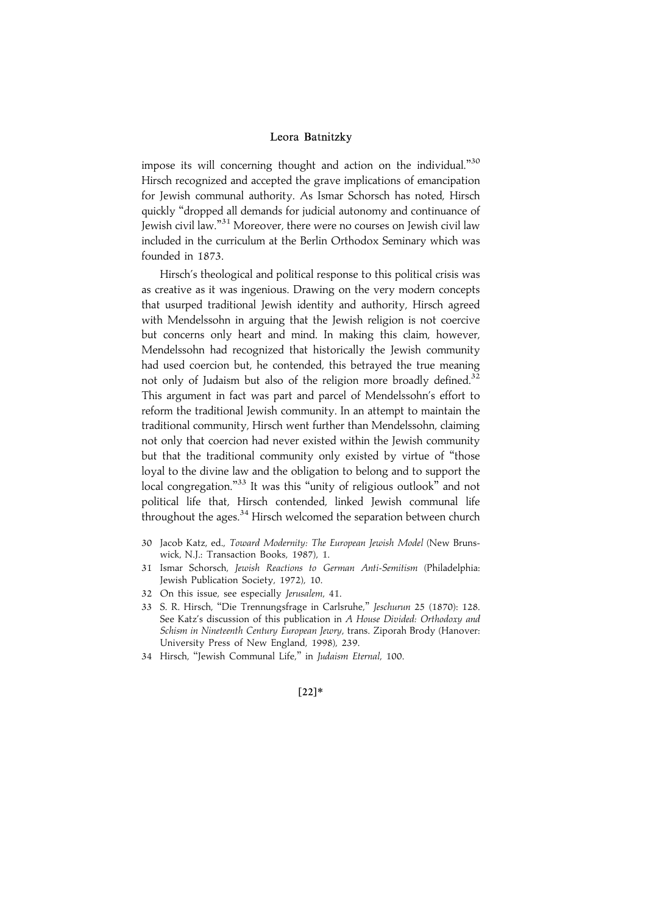impose its will concerning thought and action on the individual."<sup>30</sup> Hirsch recognized and accepted the grave implications of emancipation for Jewish communal authority. As Ismar Schorsch has noted, Hirsch quickly ''dropped all demands for judicial autonomy and continuance of Jewish civil law.'' <sup>31</sup> Moreover, there were no courses on Jewish civil law included in the curriculum at the Berlin Orthodox Seminary which was founded in 1873.

Hirsch's theological and political response to this political crisis was as creative as it was ingenious. Drawing on the very modern concepts that usurped traditional Jewish identity and authority, Hirsch agreed with Mendelssohn in arguing that the Jewish religion is not coercive but concerns only heart and mind. In making this claim, however, Mendelssohn had recognized that historically the Jewish community had used coercion but, he contended, this betrayed the true meaning not only of Judaism but also of the religion more broadly defined.<sup>32</sup> This argument in fact was part and parcel of Mendelssohn's effort to reform the traditional Jewish community. In an attempt to maintain the traditional community, Hirsch went further than Mendelssohn, claiming not only that coercion had never existed within the Jewish community but that the traditional community only existed by virtue of ''those loyal to the divine law and the obligation to belong and to support the local congregation."<sup>33</sup> It was this "unity of religious outlook" and not political life that, Hirsch contended, linked Jewish communal life throughout the ages. $34$  Hirsch welcomed the separation between church

- 30 Jacob Katz, ed., Toward Modernity: The European Jewish Model (New Brunswick, N.J.: Transaction Books, 1987), 1.
- 31 Ismar Schorsch, Jewish Reactions to German Anti-Semitism (Philadelphia: Jewish Publication Society, 1972), 10.
- 32 On this issue, see especially Jerusalem, 41.
- 33 S. R. Hirsch, ''Die Trennungsfrage in Carlsruhe,'' Jeschurun 25 (1870): 128. See Katz's discussion of this publication in A House Divided: Orthodoxy and Schism in Nineteenth Century European Jewry, trans. Ziporah Brody (Hanover: University Press of New England, 1998), 239.
- 34 Hirsch, ''Jewish Communal Life,'' in Judaism Eternal, 100.

#### $[22]*$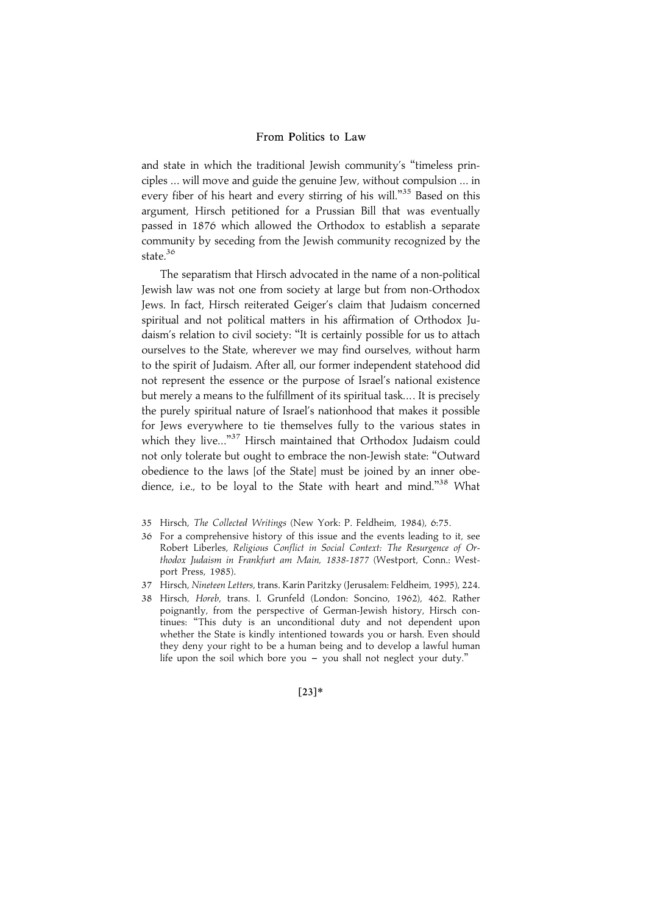and state in which the traditional Jewish community's ''timeless principles ... will move and guide the genuine Jew, without compulsion ... in every fiber of his heart and every stirring of his will."<sup>35</sup> Based on this argument, Hirsch petitioned for a Prussian Bill that was eventually passed in 1876 which allowed the Orthodox to establish a separate community by seceding from the Jewish community recognized by the state.<sup>36</sup>

The separatism that Hirsch advocated in the name of a non-political Jewish law was not one from society at large but from non-Orthodox Jews. In fact, Hirsch reiterated Geiger's claim that Judaism concerned spiritual and not political matters in his affirmation of Orthodox Judaism's relation to civil society: ''It is certainly possible for us to attach ourselves to the State, wherever we may find ourselves, without harm to the spirit of Judaism. After all, our former independent statehood did not represent the essence or the purpose of Israel's national existence but merely a means to the fulfillment of its spiritual task... . It is precisely the purely spiritual nature of Israel's nationhood that makes it possible for Jews everywhere to tie themselves fully to the various states in which they live..."<sup>37</sup> Hirsch maintained that Orthodox Judaism could not only tolerate but ought to embrace the non-Jewish state: ''Outward obedience to the laws [of the State] must be joined by an inner obedience, i.e., to be loyal to the State with heart and mind."<sup>38</sup> What

- 35 Hirsch, The Collected Writings (New York: P. Feldheim, 1984), 6:75.
- 36 For a comprehensive history of this issue and the events leading to it, see Robert Liberles, Religious Conflict in Social Context: The Resurgence of Orthodox Judaism in Frankfurt am Main, 1838-1877 (Westport, Conn.: Westport Press, 1985).
- 37 Hirsch, Nineteen Letters, trans. Karin Paritzky (Jerusalem: Feldheim, 1995), 224.
- 38 Hirsch, Horeb, trans. I. Grunfeld (London: Soncino, 1962), 462. Rather poignantly, from the perspective of German-Jewish history, Hirsch continues: ''This duty is an unconditional duty and not dependent upon whether the State is kindly intentioned towards you or harsh. Even should they deny your right to be a human being and to develop a lawful human life upon the soil which bore you  $-$  you shall not neglect your duty."

 $[23]*$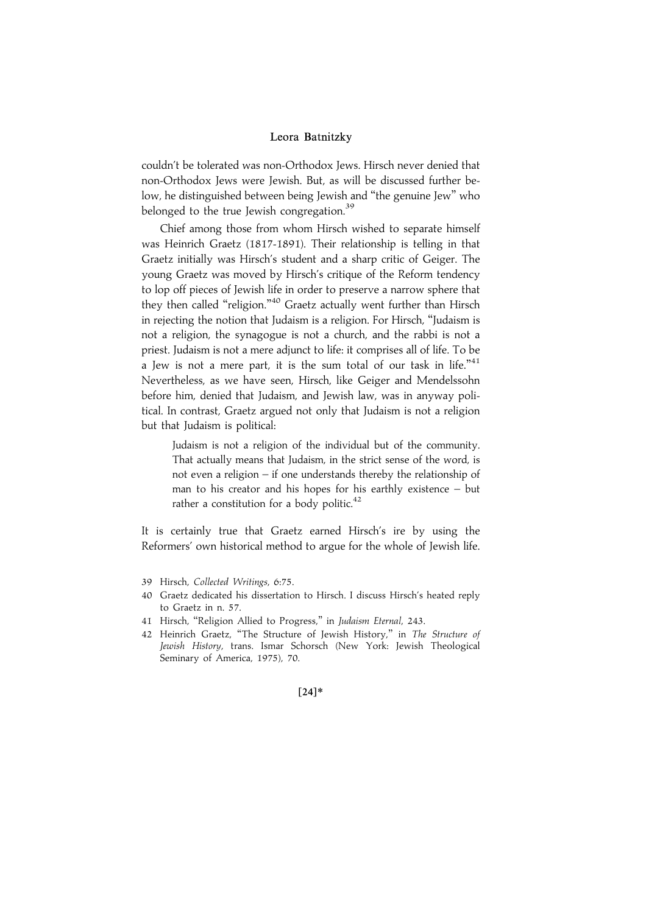couldn't be tolerated was non-Orthodox Jews. Hirsch never denied that non-Orthodox Jews were Jewish. But, as will be discussed further below, he distinguished between being Jewish and ''the genuine Jew'' who belonged to the true Jewish congregation.<sup>39</sup>

Chief among those from whom Hirsch wished to separate himself was Heinrich Graetz (1817-1891). Their relationship is telling in that Graetz initially was Hirsch's student and a sharp critic of Geiger. The young Graetz was moved by Hirsch's critique of the Reform tendency to lop off pieces of Jewish life in order to preserve a narrow sphere that they then called "religion."<sup>40</sup> Graetz actually went further than Hirsch in rejecting the notion that Judaism is a religion. For Hirsch, ''Judaism is not a religion, the synagogue is not a church, and the rabbi is not a priest. Judaism is not a mere adjunct to life: it comprises all of life. To be a Jew is not a mere part, it is the sum total of our task in life." $41$ Nevertheless, as we have seen, Hirsch, like Geiger and Mendelssohn before him, denied that Judaism, and Jewish law, was in anyway political. In contrast, Graetz argued not only that Judaism is not a religion but that Judaism is political:

Judaism is not a religion of the individual but of the community. That actually means that Judaism, in the strict sense of the word, is not even a religion – if one understands thereby the relationship of man to his creator and his hopes for his earthly existence – but rather a constitution for a body politic.<sup>42</sup>

It is certainly true that Graetz earned Hirsch's ire by using the Reformers' own historical method to argue for the whole of Jewish life.

- 39 Hirsch, Collected Writings, 6:75.
- 40 Graetz dedicated his dissertation to Hirsch. I discuss Hirsch's heated reply to Graetz in n. 57.
- 41 Hirsch, "Religion Allied to Progress," in Judaism Eternal, 243.
- 42 Heinrich Graetz, "The Structure of Jewish History," in The Structure of Jewish History, trans. Ismar Schorsch (New York: Jewish Theological Seminary of America, 1975), 70.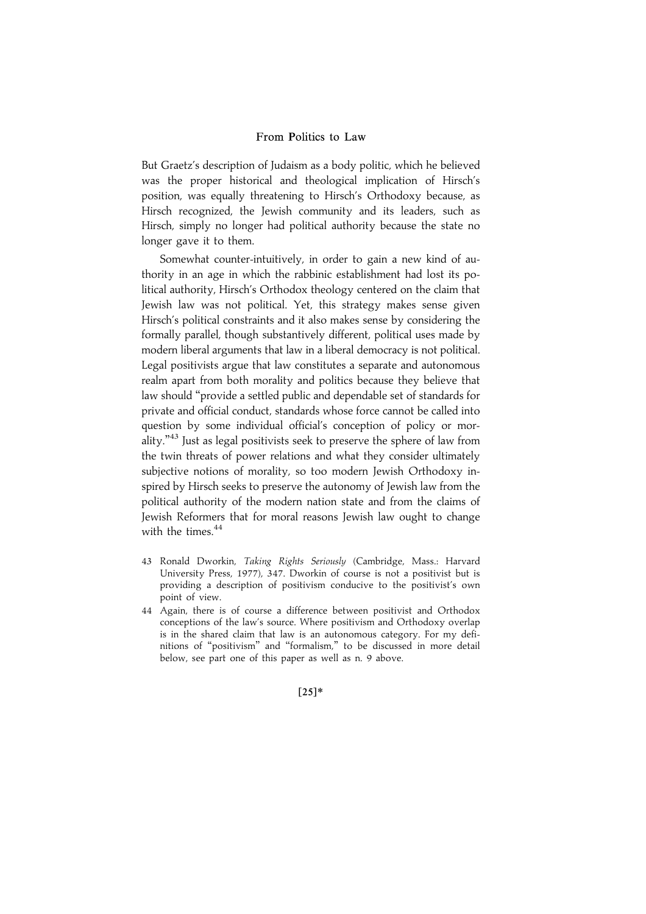But Graetz's description of Judaism as a body politic, which he believed was the proper historical and theological implication of Hirsch's position, was equally threatening to Hirsch's Orthodoxy because, as Hirsch recognized, the Jewish community and its leaders, such as Hirsch, simply no longer had political authority because the state no longer gave it to them.

Somewhat counter-intuitively, in order to gain a new kind of authority in an age in which the rabbinic establishment had lost its political authority, Hirsch's Orthodox theology centered on the claim that Jewish law was not political. Yet, this strategy makes sense given Hirsch's political constraints and it also makes sense by considering the formally parallel, though substantively different, political uses made by modern liberal arguments that law in a liberal democracy is not political. Legal positivists argue that law constitutes a separate and autonomous realm apart from both morality and politics because they believe that law should ''provide a settled public and dependable set of standards for private and official conduct, standards whose force cannot be called into question by some individual official's conception of policy or morality.'' <sup>43</sup> Just as legal positivists seek to preserve the sphere of law from the twin threats of power relations and what they consider ultimately subjective notions of morality, so too modern Jewish Orthodoxy inspired by Hirsch seeks to preserve the autonomy of Jewish law from the political authority of the modern nation state and from the claims of Jewish Reformers that for moral reasons Jewish law ought to change with the times.<sup>44</sup>

- 43 Ronald Dworkin, Taking Rights Seriously (Cambridge, Mass.: Harvard University Press, 1977), 347. Dworkin of course is not a positivist but is providing a description of positivism conducive to the positivist's own point of view.
- 44 Again, there is of course a difference between positivist and Orthodox conceptions of the law's source. Where positivism and Orthodoxy overlap is in the shared claim that law is an autonomous category. For my definitions of ''positivism'' and ''formalism,'' to be discussed in more detail below, see part one of this paper as well as n. 9 above.

 $[25]*$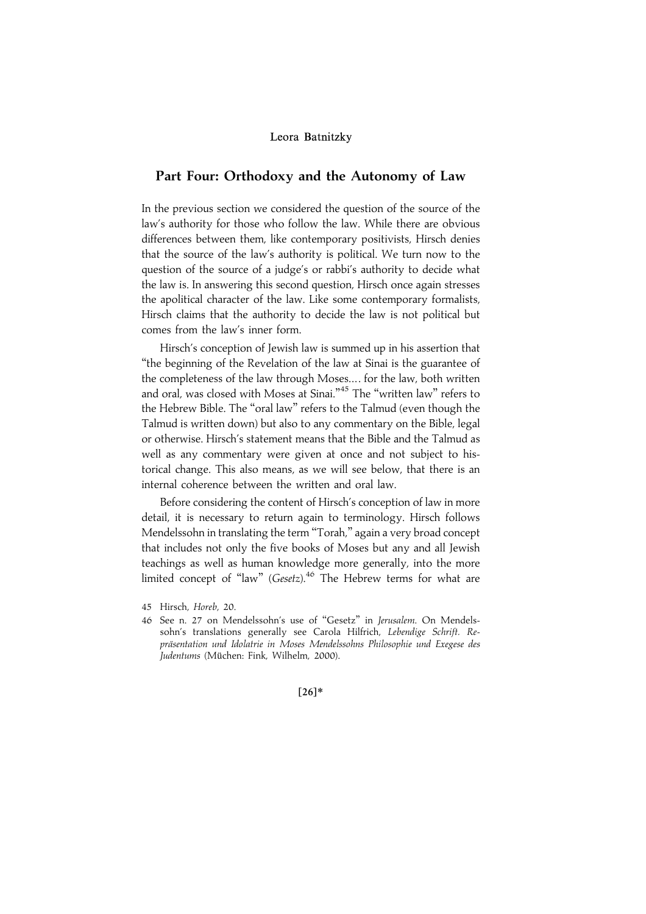# Part Four: Orthodoxy and the Autonomy of Law

In the previous section we considered the question of the source of the law's authority for those who follow the law. While there are obvious differences between them, like contemporary positivists, Hirsch denies that the source of the law's authority is political. We turn now to the question of the source of a judge's or rabbi's authority to decide what the law is. In answering this second question, Hirsch once again stresses the apolitical character of the law. Like some contemporary formalists, Hirsch claims that the authority to decide the law is not political but comes from the law's inner form.

Hirsch's conception of Jewish law is summed up in his assertion that ''the beginning of the Revelation of the law at Sinai is the guarantee of the completeness of the law through Moses... . for the law, both written and oral, was closed with Moses at Sinai."<sup>45</sup> The "written law" refers to the Hebrew Bible. The ''oral law'' refers to the Talmud (even though the Talmud is written down) but also to any commentary on the Bible, legal or otherwise. Hirsch's statement means that the Bible and the Talmud as well as any commentary were given at once and not subject to historical change. This also means, as we will see below, that there is an internal coherence between the written and oral law.

Before considering the content of Hirsch's conception of law in more detail, it is necessary to return again to terminology. Hirsch follows Mendelssohn in translating the term ''Torah,'' again a very broad concept that includes not only the five books of Moses but any and all Jewish teachings as well as human knowledge more generally, into the more limited concept of "law" (Gesetz).<sup>46</sup> The Hebrew terms for what are

<sup>45</sup> Hirsch, Horeb, 20.

<sup>46</sup> See n. 27 on Mendelssohn's use of ''Gesetz'' in Jerusalem. On Mendelssohn's translations generally see Carola Hilfrich, Lebendige Schrift. Repräsentation und Idolatrie in Moses Mendelssohns Philosophie und Exegese des Judentums (Müchen: Fink, Wilhelm, 2000).

 $[26]*$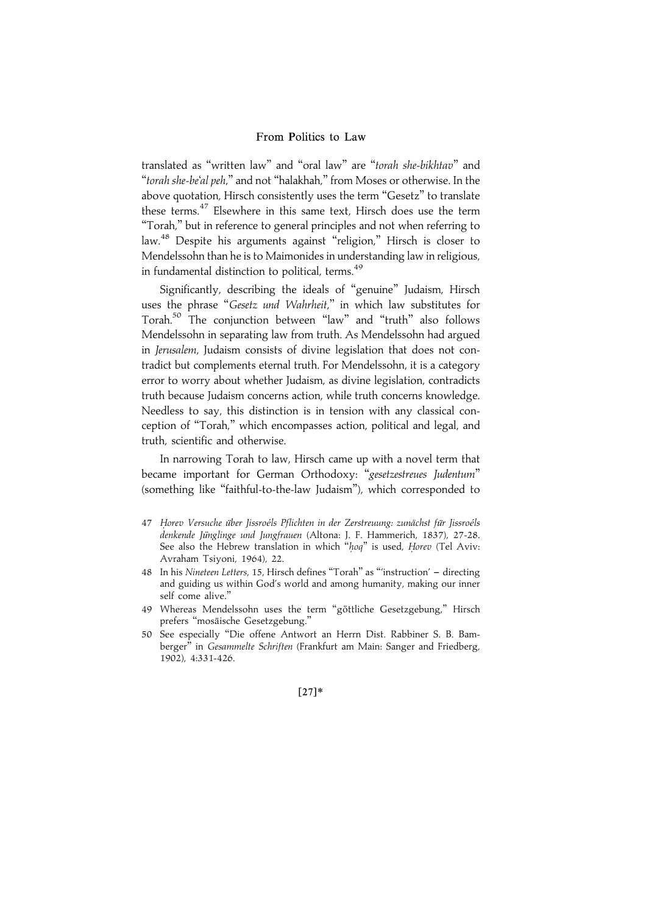translated as "written law" and "oral law" are "torah she-bikhtav" and ''torah she-be'al peh,'' and not ''halakhah,'' from Moses or otherwise. In the above quotation, Hirsch consistently uses the term ''Gesetz'' to translate these terms.<sup>47</sup> Elsewhere in this same text, Hirsch does use the term ''Torah,'' but in reference to general principles and not when referring to law.<sup>48</sup> Despite his arguments against ''religion,'' Hirsch is closer to Mendelssohn than he is to Maimonides in understanding law in religious, in fundamental distinction to political, terms.<sup>49</sup>

Significantly, describing the ideals of ''genuine'' Judaism, Hirsch uses the phrase "Gesetz und Wahrheit," in which law substitutes for Torah.<sup>50</sup> The conjunction between ''law'' and ''truth'' also follows Mendelssohn in separating law from truth. As Mendelssohn had argued in Jerusalem, Judaism consists of divine legislation that does not contradict but complements eternal truth. For Mendelssohn, it is a category error to worry about whether Judaism, as divine legislation, contradicts truth because Judaism concerns action, while truth concerns knowledge. Needless to say, this distinction is in tension with any classical conception of ''Torah,'' which encompasses action, political and legal, and truth, scientific and otherwise.

In narrowing Torah to law, Hirsch came up with a novel term that became important for German Orthodoxy: "gesetzestreues Judentum" (something like ''faithful-to-the-law Judaism''), which corresponded to

- 47 Horev Versuche über Jissroéls Pflichten in der Zerstreuung: zunächst für Jissroéls denkende Jünglinge und Jungfrauen (Altona: J. F. Hammerich, 1837), 27-28. See also the Hebrew translation in which " $hog$ " is used, Horev (Tel Aviv: Avraham Tsiyoni, 1964), 22.
- 48 In his Nineteen Letters, 15, Hirsch defines "Torah" as "instruction' directing and guiding us within God's world and among humanity, making our inner self come alive.''
- 49 Whereas Mendelssohn uses the term "göttliche Gesetzgebung," Hirsch prefers "mosäische Gesetzgebung."
- 50 See especially ''Die offene Antwort an Herrn Dist. Rabbiner S. B. Bamberger" in Gesammelte Schriften (Frankfurt am Main: Sanger and Friedberg, 1902), 4:331-426.

 $[27]*$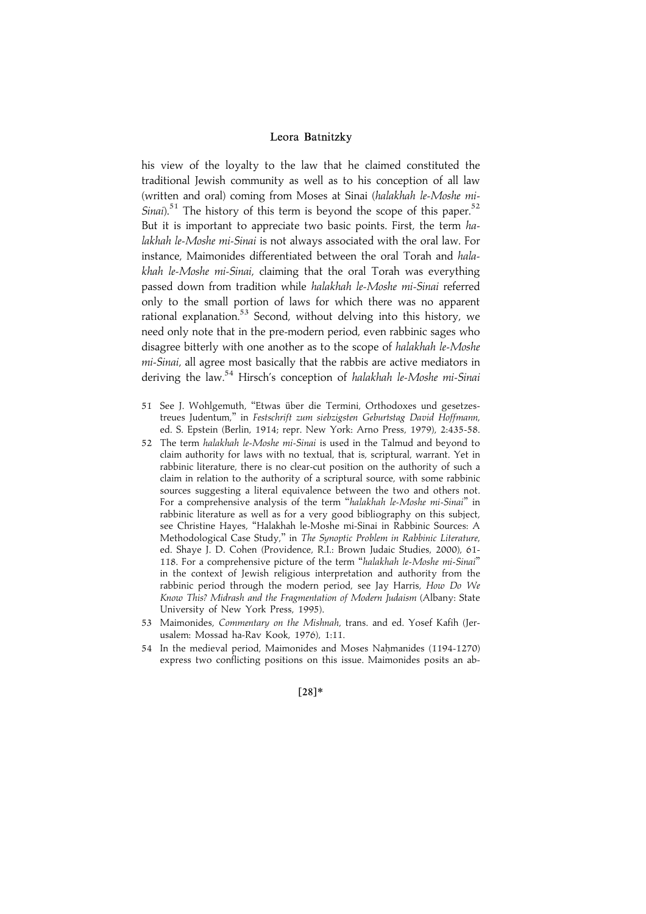his view of the loyalty to the law that he claimed constituted the traditional Jewish community as well as to his conception of all law (written and oral) coming from Moses at Sinai (halakhah le-Moshe mi-Sinai).<sup>51</sup> The history of this term is beyond the scope of this paper.<sup>52</sup> But it is important to appreciate two basic points. First, the term halakhah le-Moshe mi-Sinai is not always associated with the oral law. For instance, Maimonides differentiated between the oral Torah and halakhah le-Moshe mi-Sinai, claiming that the oral Torah was everything passed down from tradition while halakhah le-Moshe mi-Sinai referred only to the small portion of laws for which there was no apparent rational explanation.<sup>53</sup> Second, without delving into this history, we need only note that in the pre-modern period, even rabbinic sages who disagree bitterly with one another as to the scope of halakhah le-Moshe mi-Sinai, all agree most basically that the rabbis are active mediators in deriving the law.<sup>54</sup> Hirsch's conception of halakhah le-Moshe mi-Sinai

- 51 See J. Wohlgemuth, "Etwas über die Termini, Orthodoxes und gesetzestreues Judentum,'' in Festschrift zum siebzigsten Geburtstag David Hoffmann, ed. S. Epstein (Berlin, 1914; repr. New York: Arno Press, 1979), 2:435-58.
- 52 The term halakhah le-Moshe mi-Sinai is used in the Talmud and beyond to claim authority for laws with no textual, that is, scriptural, warrant. Yet in rabbinic literature, there is no clear-cut position on the authority of such a claim in relation to the authority of a scriptural source, with some rabbinic sources suggesting a literal equivalence between the two and others not. For a comprehensive analysis of the term ''halakhah le-Moshe mi-Sinai'' in rabbinic literature as well as for a very good bibliography on this subject, see Christine Hayes, ''Halakhah le-Moshe mi-Sinai in Rabbinic Sources: A Methodological Case Study,'' in The Synoptic Problem in Rabbinic Literature, ed. Shaye J. D. Cohen (Providence, R.I.: Brown Judaic Studies, 2000), 61- 118. For a comprehensive picture of the term ''halakhah le-Moshe mi-Sinai'' in the context of Jewish religious interpretation and authority from the rabbinic period through the modern period, see Jay Harris, How Do We Know This? Midrash and the Fragmentation of Modern Judaism (Albany: State University of New York Press, 1995).
- 53 Maimonides, Commentary on the Mishnah, trans. and ed. Yosef Kafih (Jerusalem: Mossad ha-Rav Kook, 1976), 1:11.
- 54 In the medieval period, Maimonides and Moses Nahmanides (1194-1270) express two conflicting positions on this issue. Maimonides posits an ab-

#### $[28]*$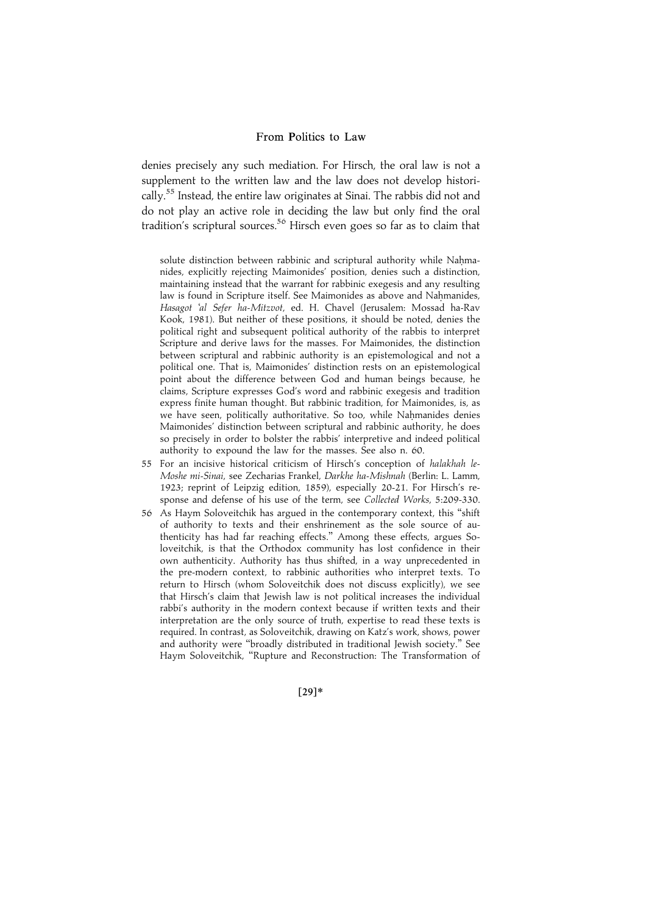denies precisely any such mediation. For Hirsch, the oral law is not a supplement to the written law and the law does not develop historically.<sup>55</sup> Instead, the entire law originates at Sinai. The rabbis did not and do not play an active role in deciding the law but only find the oral tradition's scriptural sources.<sup>56</sup> Hirsch even goes so far as to claim that

solute distinction between rabbinic and scriptural authority while Nahmanides, explicitly rejecting Maimonides' position, denies such a distinction, maintaining instead that the warrant for rabbinic exegesis and any resulting law is found in Scripture itself. See Maimonides as above and Nahmanides. Hasagot 'al Sefer ha-Mitzvot, ed. H. Chavel (Jerusalem: Mossad ha-Rav Kook, 1981). But neither of these positions, it should be noted, denies the political right and subsequent political authority of the rabbis to interpret Scripture and derive laws for the masses. For Maimonides, the distinction between scriptural and rabbinic authority is an epistemological and not a political one. That is, Maimonides' distinction rests on an epistemological point about the difference between God and human beings because, he claims, Scripture expresses God's word and rabbinic exegesis and tradition express finite human thought. But rabbinic tradition, for Maimonides, is, as we have seen, politically authoritative. So too, while Nahmanides denies Maimonides' distinction between scriptural and rabbinic authority, he does so precisely in order to bolster the rabbis' interpretive and indeed political authority to expound the law for the masses. See also n. 60.

- 55 For an incisive historical criticism of Hirsch's conception of halakhah le-Moshe mi-Sinai, see Zecharias Frankel, Darkhe ha-Mishnah (Berlin: L. Lamm, 1923; reprint of Leipzig edition, 1859), especially 20-21. For Hirsch's response and defense of his use of the term, see Collected Works, 5:209-330.
- 56 As Haym Soloveitchik has argued in the contemporary context, this ''shift of authority to texts and their enshrinement as the sole source of authenticity has had far reaching effects.'' Among these effects, argues Soloveitchik, is that the Orthodox community has lost confidence in their own authenticity. Authority has thus shifted, in a way unprecedented in the pre-modern context, to rabbinic authorities who interpret texts. To return to Hirsch (whom Soloveitchik does not discuss explicitly), we see that Hirsch's claim that Jewish law is not political increases the individual rabbi's authority in the modern context because if written texts and their interpretation are the only source of truth, expertise to read these texts is required. In contrast, as Soloveitchik, drawing on Katz's work, shows, power and authority were ''broadly distributed in traditional Jewish society.'' See Haym Soloveitchik, ''Rupture and Reconstruction: The Transformation of

 $[29]*$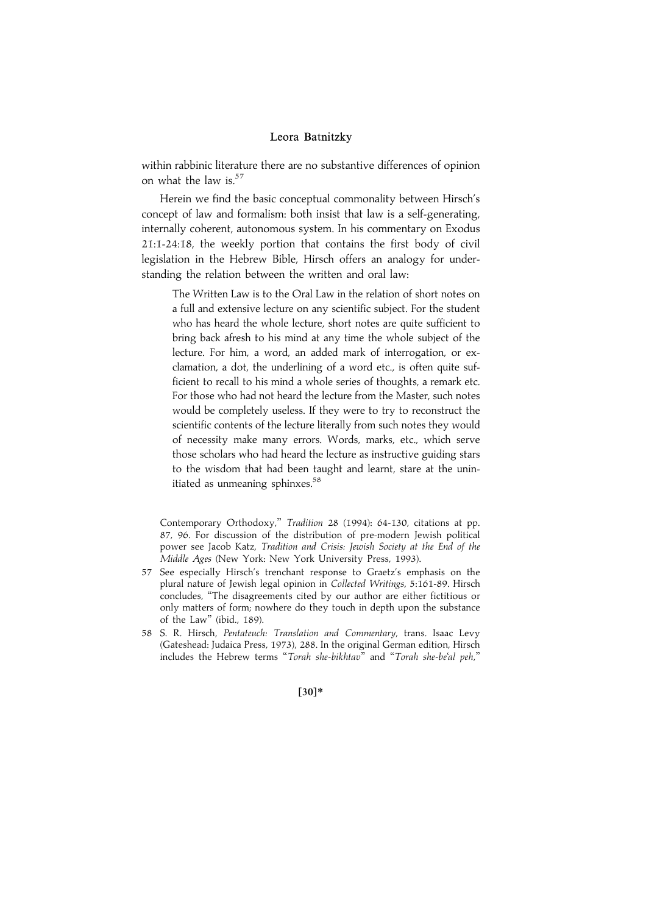within rabbinic literature there are no substantive differences of opinion on what the law is. $57$ 

Herein we find the basic conceptual commonality between Hirsch's concept of law and formalism: both insist that law is a self-generating, internally coherent, autonomous system. In his commentary on Exodus 21:1-24:18, the weekly portion that contains the first body of civil legislation in the Hebrew Bible, Hirsch offers an analogy for understanding the relation between the written and oral law:

The Written Law is to the Oral Law in the relation of short notes on a full and extensive lecture on any scientific subject. For the student who has heard the whole lecture, short notes are quite sufficient to bring back afresh to his mind at any time the whole subject of the lecture. For him, a word, an added mark of interrogation, or exclamation, a dot, the underlining of a word etc., is often quite sufficient to recall to his mind a whole series of thoughts, a remark etc. For those who had not heard the lecture from the Master, such notes would be completely useless. If they were to try to reconstruct the scientific contents of the lecture literally from such notes they would of necessity make many errors. Words, marks, etc., which serve those scholars who had heard the lecture as instructive guiding stars to the wisdom that had been taught and learnt, stare at the uninitiated as unmeaning sphinxes.<sup>58</sup>

Contemporary Orthodoxy,'' Tradition 28 (1994): 64-130, citations at pp. 87, 96. For discussion of the distribution of pre-modern Jewish political power see Jacob Katz, Tradition and Crisis: Jewish Society at the End of the Middle Ages (New York: New York University Press, 1993).

- 57 See especially Hirsch's trenchant response to Graetz's emphasis on the plural nature of Jewish legal opinion in Collected Writings, 5:161-89. Hirsch concludes, ''The disagreements cited by our author are either fictitious or only matters of form; nowhere do they touch in depth upon the substance of the Law'' (ibid., 189).
- 58 S. R. Hirsch, Pentateuch: Translation and Commentary, trans. Isaac Levy (Gateshead: Judaica Press, 1973), 288. In the original German edition, Hirsch includes the Hebrew terms "Torah she-bikhtav" and "Torah she-be'al peh,"

 $[30]*$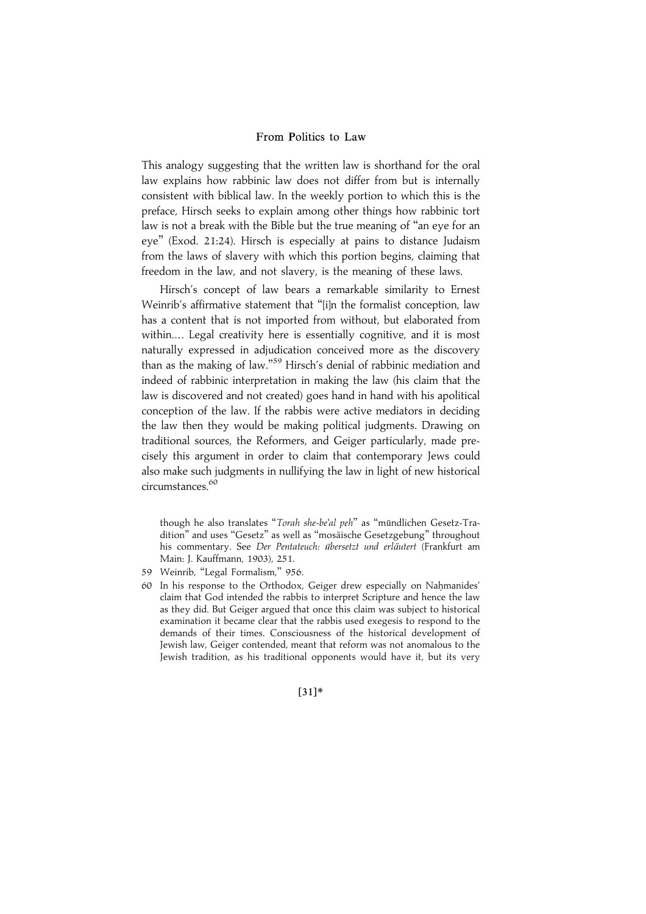This analogy suggesting that the written law is shorthand for the oral law explains how rabbinic law does not differ from but is internally consistent with biblical law. In the weekly portion to which this is the preface, Hirsch seeks to explain among other things how rabbinic tort law is not a break with the Bible but the true meaning of ''an eye for an eye'' (Exod. 21:24). Hirsch is especially at pains to distance Judaism from the laws of slavery with which this portion begins, claiming that freedom in the law, and not slavery, is the meaning of these laws.

Hirsch's concept of law bears a remarkable similarity to Ernest Weinrib's affirmative statement that "[i]n the formalist conception, law has a content that is not imported from without, but elaborated from within.... Legal creativity here is essentially cognitive, and it is most naturally expressed in adjudication conceived more as the discovery than as the making of law."<sup>59</sup> Hirsch's denial of rabbinic mediation and indeed of rabbinic interpretation in making the law (his claim that the law is discovered and not created) goes hand in hand with his apolitical conception of the law. If the rabbis were active mediators in deciding the law then they would be making political judgments. Drawing on traditional sources, the Reformers, and Geiger particularly, made precisely this argument in order to claim that contemporary Jews could also make such judgments in nullifying the law in light of new historical circumstances.60

though he also translates "Torah she-be'al peh" as "mündlichen Gesetz-Tradition" and uses "Gesetz" as well as "mosaische Gesetzgebung" throughout his commentary. See Der Pentateuch: übersetzt und erläutert (Frankfurt am Main: J. Kauffmann, 1903), 251.

- 59 Weinrib, "Legal Formalism," 956.
- 60 In his response to the Orthodox, Geiger drew especially on Nahmanides' claim that God intended the rabbis to interpret Scripture and hence the law as they did. But Geiger argued that once this claim was subject to historical examination it became clear that the rabbis used exegesis to respond to the demands of their times. Consciousness of the historical development of Jewish law, Geiger contended, meant that reform was not anomalous to the Jewish tradition, as his traditional opponents would have it, but its very

 $[31]*$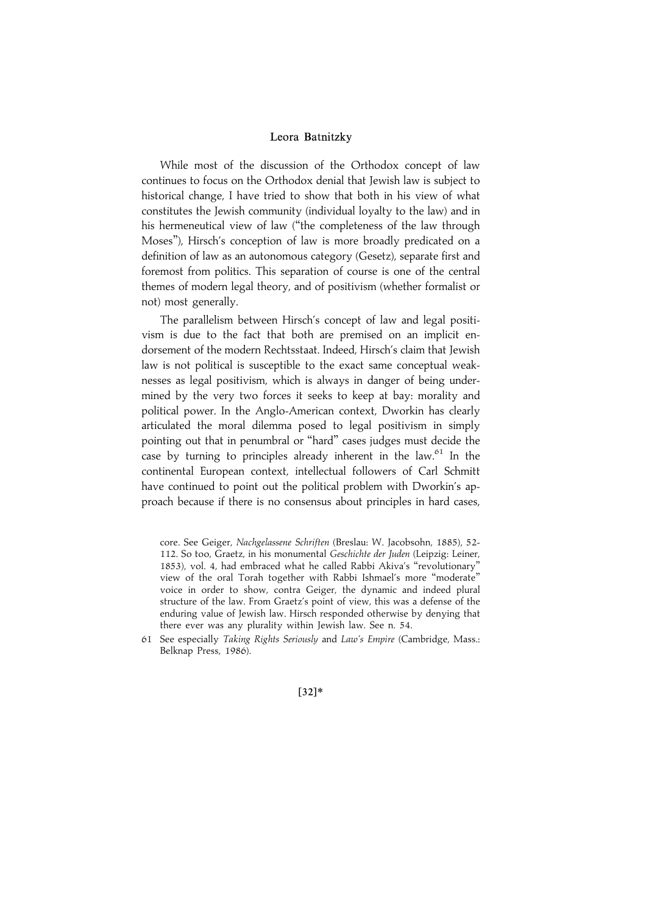While most of the discussion of the Orthodox concept of law continues to focus on the Orthodox denial that Jewish law is subject to historical change, I have tried to show that both in his view of what constitutes the Jewish community (individual loyalty to the law) and in his hermeneutical view of law ("the completeness of the law through Moses''), Hirsch's conception of law is more broadly predicated on a definition of law as an autonomous category (Gesetz), separate first and foremost from politics. This separation of course is one of the central themes of modern legal theory, and of positivism (whether formalist or not) most generally.

The parallelism between Hirsch's concept of law and legal positivism is due to the fact that both are premised on an implicit endorsement of the modern Rechtsstaat. Indeed, Hirsch's claim that Jewish law is not political is susceptible to the exact same conceptual weaknesses as legal positivism, which is always in danger of being undermined by the very two forces it seeks to keep at bay: morality and political power. In the Anglo-American context, Dworkin has clearly articulated the moral dilemma posed to legal positivism in simply pointing out that in penumbral or ''hard'' cases judges must decide the case by turning to principles already inherent in the law. $61$  In the continental European context, intellectual followers of Carl Schmitt have continued to point out the political problem with Dworkin's approach because if there is no consensus about principles in hard cases,

core. See Geiger, Nachgelassene Schriften (Breslau: W. Jacobsohn, 1885), 52- 112. So too, Graetz, in his monumental Geschichte der Juden (Leipzig: Leiner, 1853), vol. 4, had embraced what he called Rabbi Akiva's ''revolutionary'' view of the oral Torah together with Rabbi Ishmael's more ''moderate'' voice in order to show, contra Geiger, the dynamic and indeed plural structure of the law. From Graetz's point of view, this was a defense of the enduring value of Jewish law. Hirsch responded otherwise by denying that there ever was any plurality within Jewish law. See n. 54.

61 See especially Taking Rights Seriously and Law's Empire (Cambridge, Mass.: Belknap Press, 1986).

 $[32]*$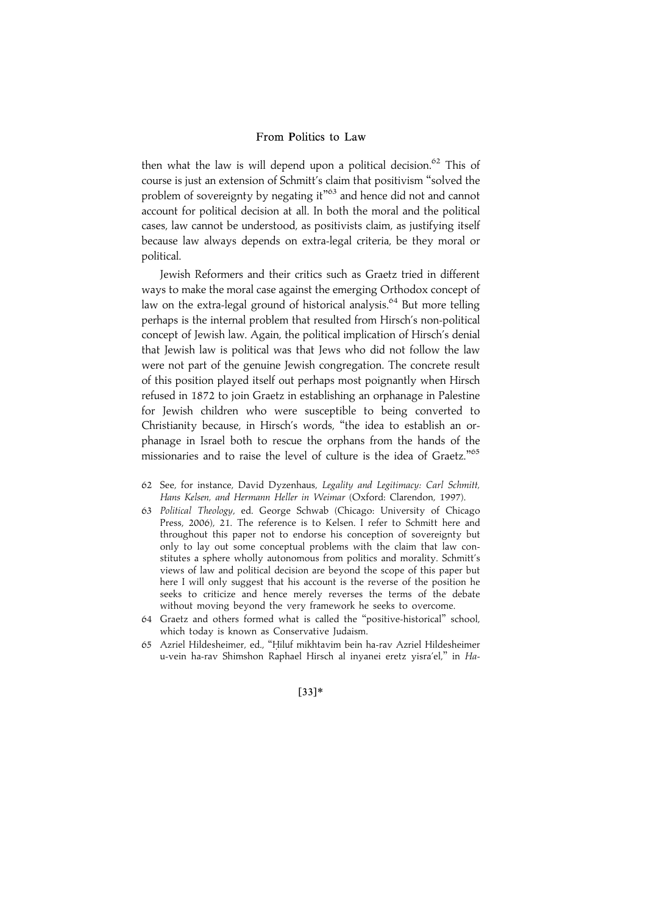then what the law is will depend upon a political decision. $62$  This of course is just an extension of Schmitt's claim that positivism ''solved the problem of sovereignty by negating it"<sup>63</sup> and hence did not and cannot account for political decision at all. In both the moral and the political cases, law cannot be understood, as positivists claim, as justifying itself because law always depends on extra-legal criteria, be they moral or political.

Jewish Reformers and their critics such as Graetz tried in different ways to make the moral case against the emerging Orthodox concept of law on the extra-legal ground of historical analysis.<sup>64</sup> But more telling perhaps is the internal problem that resulted from Hirsch's non-political concept of Jewish law. Again, the political implication of Hirsch's denial that Jewish law is political was that Jews who did not follow the law were not part of the genuine Jewish congregation. The concrete result of this position played itself out perhaps most poignantly when Hirsch refused in 1872 to join Graetz in establishing an orphanage in Palestine for Jewish children who were susceptible to being converted to Christianity because, in Hirsch's words, ''the idea to establish an orphanage in Israel both to rescue the orphans from the hands of the missionaries and to raise the level of culture is the idea of Graetz."<sup>65</sup>

- 62 See, for instance, David Dyzenhaus, Legality and Legitimacy: Carl Schmitt, Hans Kelsen, and Hermann Heller in Weimar (Oxford: Clarendon, 1997).
- 63 Political Theology, ed. George Schwab (Chicago: University of Chicago Press, 2006), 21. The reference is to Kelsen. I refer to Schmitt here and throughout this paper not to endorse his conception of sovereignty but only to lay out some conceptual problems with the claim that law constitutes a sphere wholly autonomous from politics and morality. Schmitt's views of law and political decision are beyond the scope of this paper but here I will only suggest that his account is the reverse of the position he seeks to criticize and hence merely reverses the terms of the debate without moving beyond the very framework he seeks to overcome.
- 64 Graetz and others formed what is called the ''positive-historical'' school, which today is known as Conservative Judaism.
- 65 Azriel Hildesheimer, ed., "Hiluf mikhtavim bein ha-rav Azriel Hildesheimer u-vein ha-rav Shimshon Raphael Hirsch al inyanei eretz yisra'el,'' in Ha-

#### $[33]*$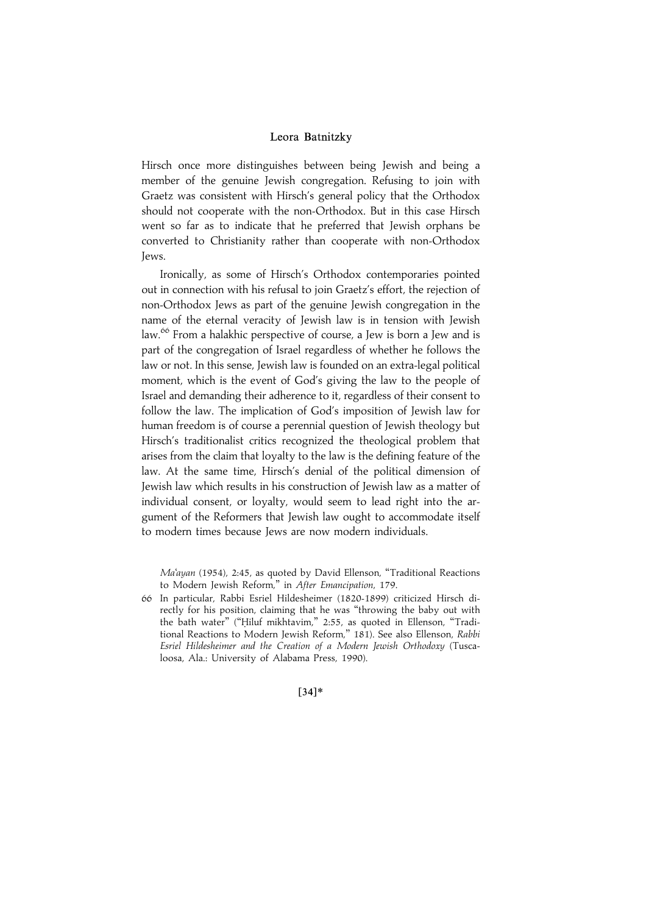Hirsch once more distinguishes between being Jewish and being a member of the genuine Jewish congregation. Refusing to join with Graetz was consistent with Hirsch's general policy that the Orthodox should not cooperate with the non-Orthodox. But in this case Hirsch went so far as to indicate that he preferred that Jewish orphans be converted to Christianity rather than cooperate with non-Orthodox Jews.

Ironically, as some of Hirsch's Orthodox contemporaries pointed out in connection with his refusal to join Graetz's effort, the rejection of non-Orthodox Jews as part of the genuine Jewish congregation in the name of the eternal veracity of Jewish law is in tension with Jewish law.<sup>66</sup> From a halakhic perspective of course, a Jew is born a Jew and is part of the congregation of Israel regardless of whether he follows the law or not. In this sense, Jewish law is founded on an extra-legal political moment, which is the event of God's giving the law to the people of Israel and demanding their adherence to it, regardless of their consent to follow the law. The implication of God's imposition of Jewish law for human freedom is of course a perennial question of Jewish theology but Hirsch's traditionalist critics recognized the theological problem that arises from the claim that loyalty to the law is the defining feature of the law. At the same time, Hirsch's denial of the political dimension of Jewish law which results in his construction of Jewish law as a matter of individual consent, or loyalty, would seem to lead right into the argument of the Reformers that Jewish law ought to accommodate itself to modern times because Jews are now modern individuals.

Ma'ayan (1954), 2:45, as quoted by David Ellenson, ''Traditional Reactions to Modern Jewish Reform,'' in After Emancipation, 179.

66 In particular, Rabbi Esriel Hildesheimer (1820-1899) criticized Hirsch directly for his position, claiming that he was ''throwing the baby out with the bath water" ("Hiluf mikhtavim," 2:55, as quoted in Ellenson, "Traditional Reactions to Modern Jewish Reform," 181). See also Ellenson, Rabbi Esriel Hildesheimer and the Creation of a Modern Jewish Orthodoxy (Tuscaloosa, Ala.: University of Alabama Press, 1990).

 $[34]*$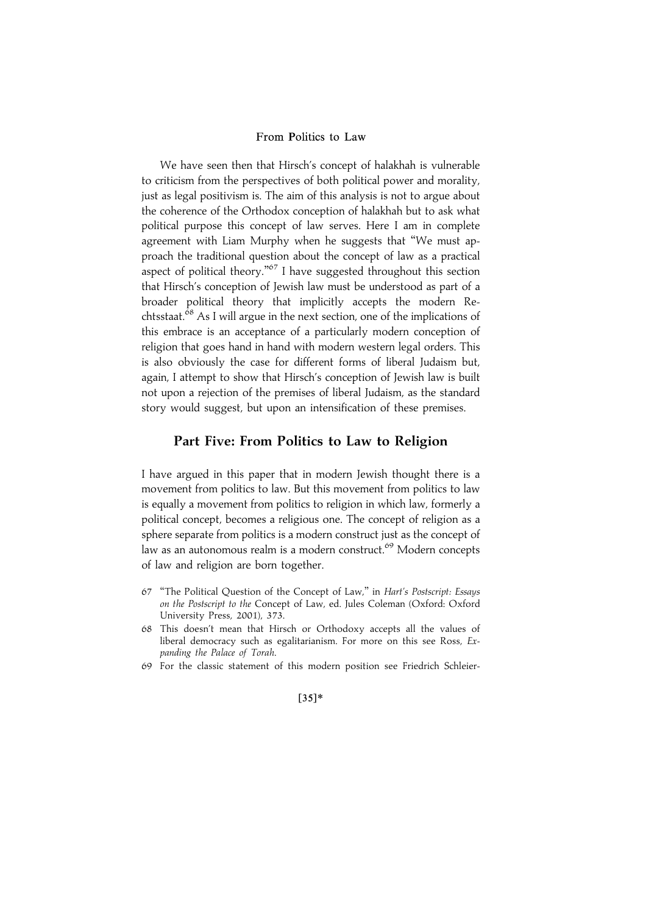We have seen then that Hirsch's concept of halakhah is vulnerable to criticism from the perspectives of both political power and morality, just as legal positivism is. The aim of this analysis is not to argue about the coherence of the Orthodox conception of halakhah but to ask what political purpose this concept of law serves. Here I am in complete agreement with Liam Murphy when he suggests that ''We must approach the traditional question about the concept of law as a practical aspect of political theory."<sup>67</sup> I have suggested throughout this section that Hirsch's conception of Jewish law must be understood as part of a broader political theory that implicitly accepts the modern Rechtsstaat.<sup>68</sup> As I will argue in the next section, one of the implications of this embrace is an acceptance of a particularly modern conception of religion that goes hand in hand with modern western legal orders. This is also obviously the case for different forms of liberal Judaism but, again, I attempt to show that Hirsch's conception of Jewish law is built not upon a rejection of the premises of liberal Judaism, as the standard story would suggest, but upon an intensification of these premises.

## Part Five: From Politics to Law to Religion

I have argued in this paper that in modern Jewish thought there is a movement from politics to law. But this movement from politics to law is equally a movement from politics to religion in which law, formerly a political concept, becomes a religious one. The concept of religion as a sphere separate from politics is a modern construct just as the concept of law as an autonomous realm is a modern construct.<sup>69</sup> Modern concepts of law and religion are born together.

- 67 ''The Political Question of the Concept of Law,'' in Hart's Postscript: Essays on the Postscript to the Concept of Law, ed. Jules Coleman (Oxford: Oxford University Press, 2001), 373.
- 68 This doesn't mean that Hirsch or Orthodoxy accepts all the values of liberal democracy such as egalitarianism. For more on this see Ross, Expanding the Palace of Torah.
- 69 For the classic statement of this modern position see Friedrich Schleier-

## $[35]*$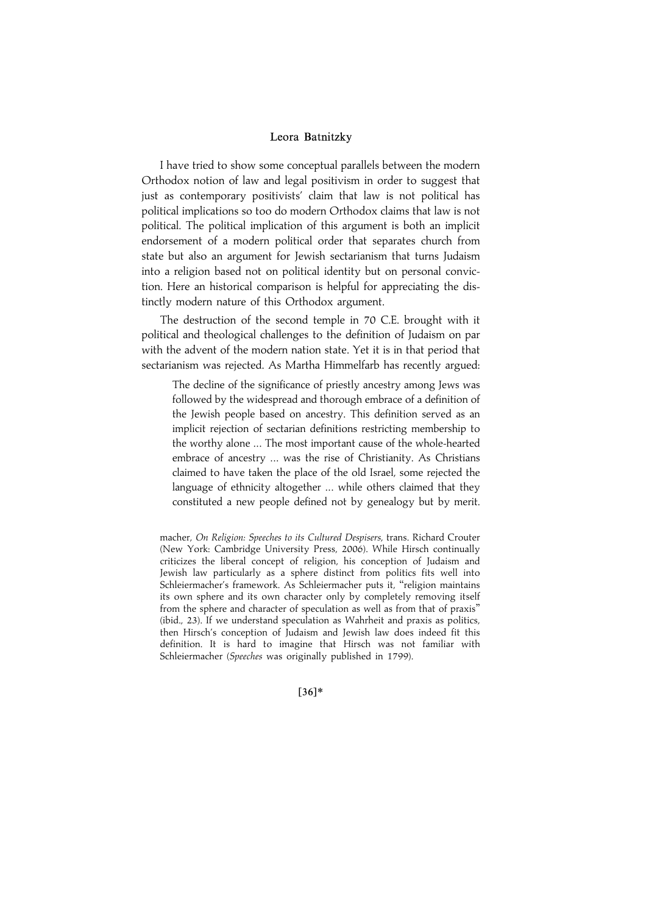I have tried to show some conceptual parallels between the modern Orthodox notion of law and legal positivism in order to suggest that just as contemporary positivists' claim that law is not political has political implications so too do modern Orthodox claims that law is not political. The political implication of this argument is both an implicit endorsement of a modern political order that separates church from state but also an argument for Jewish sectarianism that turns Judaism into a religion based not on political identity but on personal conviction. Here an historical comparison is helpful for appreciating the distinctly modern nature of this Orthodox argument.

The destruction of the second temple in 70 C.E. brought with it political and theological challenges to the definition of Judaism on par with the advent of the modern nation state. Yet it is in that period that sectarianism was rejected. As Martha Himmelfarb has recently argued:

The decline of the significance of priestly ancestry among Jews was followed by the widespread and thorough embrace of a definition of the Jewish people based on ancestry. This definition served as an implicit rejection of sectarian definitions restricting membership to the worthy alone ... The most important cause of the whole-hearted embrace of ancestry ... was the rise of Christianity. As Christians claimed to have taken the place of the old Israel, some rejected the language of ethnicity altogether ... while others claimed that they constituted a new people defined not by genealogy but by merit.

macher, On Religion: Speeches to its Cultured Despisers, trans. Richard Crouter (New York: Cambridge University Press, 2006). While Hirsch continually criticizes the liberal concept of religion, his conception of Judaism and Jewish law particularly as a sphere distinct from politics fits well into Schleiermacher's framework. As Schleiermacher puts it, ''religion maintains its own sphere and its own character only by completely removing itself from the sphere and character of speculation as well as from that of praxis'' (ibid., 23). If we understand speculation as Wahrheit and praxis as politics, then Hirsch's conception of Judaism and Jewish law does indeed fit this definition. It is hard to imagine that Hirsch was not familiar with Schleiermacher (Speeches was originally published in 1799).

 $[36]*$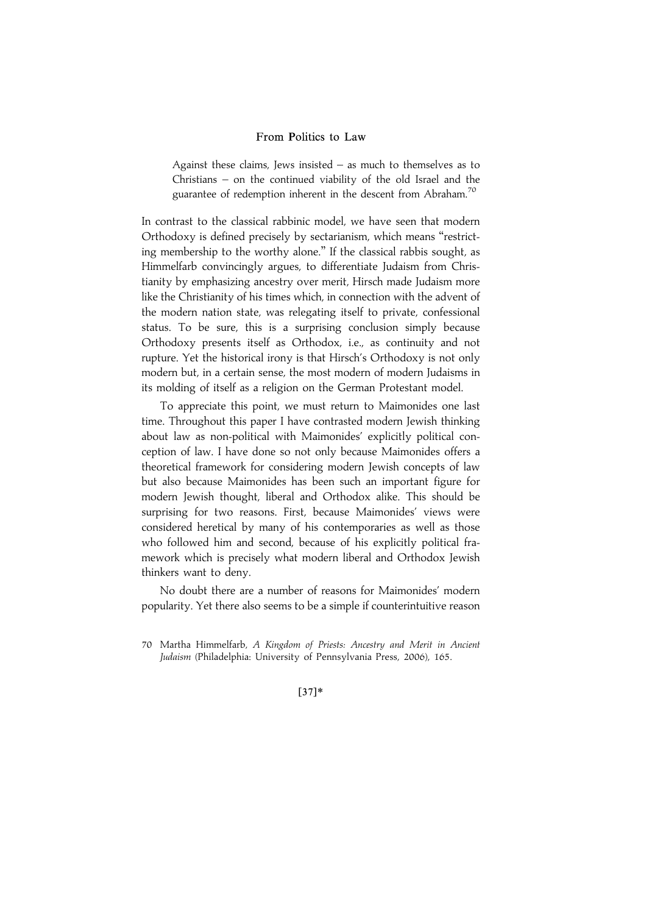Against these claims, Jews insisted – as much to themselves as to Christians – on the continued viability of the old Israel and the guarantee of redemption inherent in the descent from Abraham.<sup>70</sup>

In contrast to the classical rabbinic model, we have seen that modern Orthodoxy is defined precisely by sectarianism, which means ''restricting membership to the worthy alone.'' If the classical rabbis sought, as Himmelfarb convincingly argues, to differentiate Judaism from Christianity by emphasizing ancestry over merit, Hirsch made Judaism more like the Christianity of his times which, in connection with the advent of the modern nation state, was relegating itself to private, confessional status. To be sure, this is a surprising conclusion simply because Orthodoxy presents itself as Orthodox, i.e., as continuity and not rupture. Yet the historical irony is that Hirsch's Orthodoxy is not only modern but, in a certain sense, the most modern of modern Judaisms in its molding of itself as a religion on the German Protestant model.

To appreciate this point, we must return to Maimonides one last time. Throughout this paper I have contrasted modern Jewish thinking about law as non-political with Maimonides' explicitly political conception of law. I have done so not only because Maimonides offers a theoretical framework for considering modern Jewish concepts of law but also because Maimonides has been such an important figure for modern Jewish thought, liberal and Orthodox alike. This should be surprising for two reasons. First, because Maimonides' views were considered heretical by many of his contemporaries as well as those who followed him and second, because of his explicitly political framework which is precisely what modern liberal and Orthodox Jewish thinkers want to deny.

No doubt there are a number of reasons for Maimonides' modern popularity. Yet there also seems to be a simple if counterintuitive reason

### $[37]*$

<sup>70</sup> Martha Himmelfarb, A Kingdom of Priests: Ancestry and Merit in Ancient Judaism (Philadelphia: University of Pennsylvania Press, 2006), 165.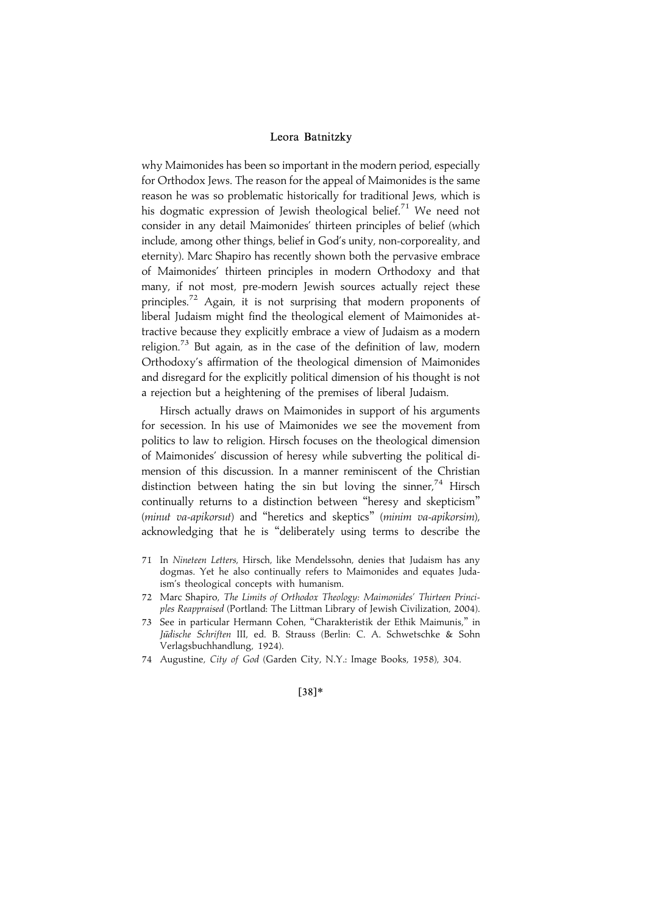why Maimonides has been so important in the modern period, especially for Orthodox Jews. The reason for the appeal of Maimonides is the same reason he was so problematic historically for traditional Jews, which is his dogmatic expression of Jewish theological belief.<sup>71</sup> We need not consider in any detail Maimonides' thirteen principles of belief (which include, among other things, belief in God's unity, non-corporeality, and eternity). Marc Shapiro has recently shown both the pervasive embrace of Maimonides' thirteen principles in modern Orthodoxy and that many, if not most, pre-modern Jewish sources actually reject these principles.<sup>72</sup> Again, it is not surprising that modern proponents of liberal Judaism might find the theological element of Maimonides attractive because they explicitly embrace a view of Judaism as a modern religion.<sup>73</sup> But again, as in the case of the definition of law, modern Orthodoxy's affirmation of the theological dimension of Maimonides and disregard for the explicitly political dimension of his thought is not a rejection but a heightening of the premises of liberal Judaism.

Hirsch actually draws on Maimonides in support of his arguments for secession. In his use of Maimonides we see the movement from politics to law to religion. Hirsch focuses on the theological dimension of Maimonides' discussion of heresy while subverting the political dimension of this discussion. In a manner reminiscent of the Christian distinction between hating the sin but loving the sinner,<sup>74</sup> Hirsch continually returns to a distinction between ''heresy and skepticism'' (minut va-apikorsut) and ''heretics and skeptics'' (minim va-apikorsim), acknowledging that he is ''deliberately using terms to describe the

- 71 In Nineteen Letters, Hirsch, like Mendelssohn, denies that Judaism has any dogmas. Yet he also continually refers to Maimonides and equates Judaism's theological concepts with humanism.
- 72 Marc Shapiro, The Limits of Orthodox Theology: Maimonides' Thirteen Principles Reappraised (Portland: The Littman Library of Jewish Civilization, 2004).
- 73 See in particular Hermann Cohen, ''Charakteristik der Ethik Maimunis,'' in Jüdische Schriften III, ed. B. Strauss (Berlin: C. A. Schwetschke & Sohn Verlagsbuchhandlung, 1924).
- 74 Augustine, City of God (Garden City, N.Y.: Image Books, 1958), 304.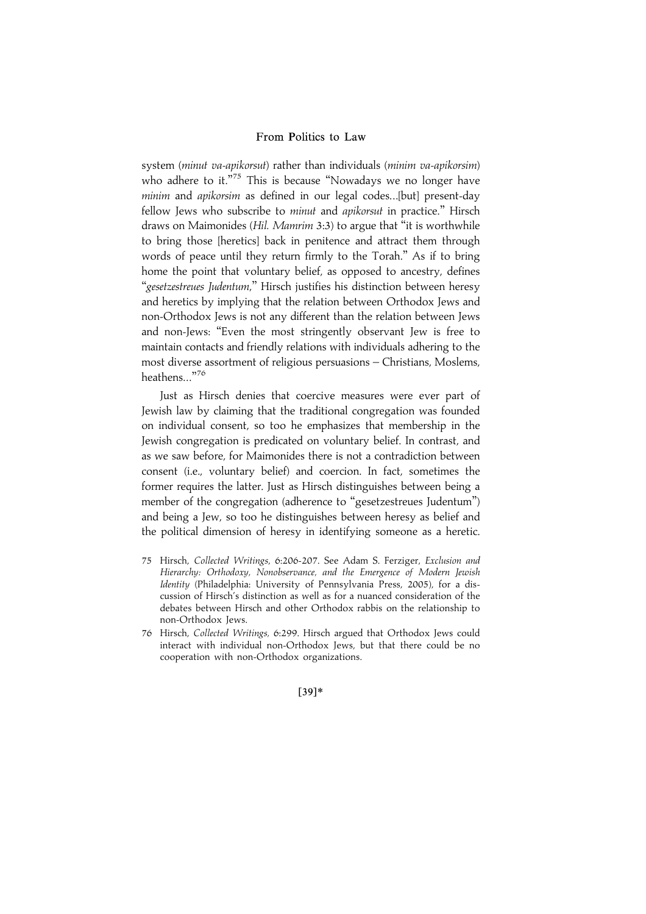system (minut va-apikorsut) rather than individuals (minim va-apikorsim) who adhere to it."<sup>75</sup> This is because "Nowadays we no longer have minim and apikorsim as defined in our legal codes...[but] present-day fellow Jews who subscribe to minut and apikorsut in practice." Hirsch draws on Maimonides (Hil. Mamrim 3:3) to argue that "it is worthwhile to bring those [heretics] back in penitence and attract them through words of peace until they return firmly to the Torah.'' As if to bring home the point that voluntary belief, as opposed to ancestry, defines ''gesetzestreues Judentum,'' Hirsch justifies his distinction between heresy and heretics by implying that the relation between Orthodox Jews and non-Orthodox Jews is not any different than the relation between Jews and non-Jews: ''Even the most stringently observant Jew is free to maintain contacts and friendly relations with individuals adhering to the most diverse assortment of religious persuasions – Christians, Moslems, heathens...'' 76

Just as Hirsch denies that coercive measures were ever part of Jewish law by claiming that the traditional congregation was founded on individual consent, so too he emphasizes that membership in the Jewish congregation is predicated on voluntary belief. In contrast, and as we saw before, for Maimonides there is not a contradiction between consent (i.e., voluntary belief) and coercion. In fact, sometimes the former requires the latter. Just as Hirsch distinguishes between being a member of the congregation (adherence to ''gesetzestreues Judentum'') and being a Jew, so too he distinguishes between heresy as belief and the political dimension of heresy in identifying someone as a heretic.

- 75 Hirsch, Collected Writings, 6:206-207. See Adam S. Ferziger, Exclusion and Hierarchy: Orthodoxy, Nonobservance, and the Emergence of Modern Jewish Identity (Philadelphia: University of Pennsylvania Press, 2005), for a discussion of Hirsch's distinction as well as for a nuanced consideration of the debates between Hirsch and other Orthodox rabbis on the relationship to non-Orthodox Jews.
- 76 Hirsch, Collected Writings, 6:299. Hirsch argued that Orthodox Jews could interact with individual non-Orthodox Jews, but that there could be no cooperation with non-Orthodox organizations.

 $[39]*$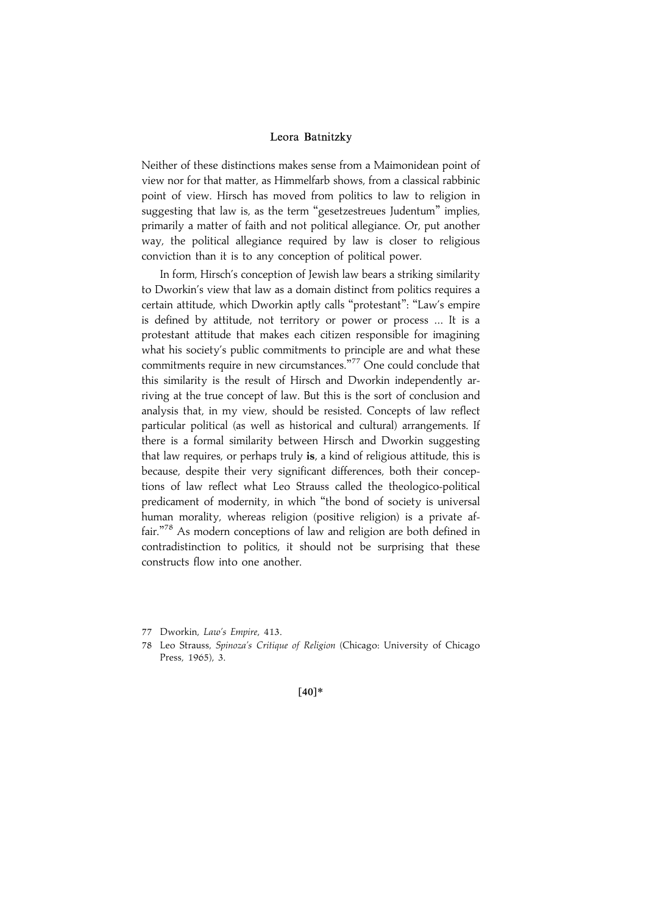Neither of these distinctions makes sense from a Maimonidean point of view nor for that matter, as Himmelfarb shows, from a classical rabbinic point of view. Hirsch has moved from politics to law to religion in suggesting that law is, as the term "gesetzestreues Judentum" implies, primarily a matter of faith and not political allegiance. Or, put another way, the political allegiance required by law is closer to religious conviction than it is to any conception of political power.

In form, Hirsch's conception of Jewish law bears a striking similarity to Dworkin's view that law as a domain distinct from politics requires a certain attitude, which Dworkin aptly calls ''protestant'': ''Law's empire is defined by attitude, not territory or power or process ... It is a protestant attitude that makes each citizen responsible for imagining what his society's public commitments to principle are and what these commitments require in new circumstances."<sup>77</sup> One could conclude that this similarity is the result of Hirsch and Dworkin independently arriving at the true concept of law. But this is the sort of conclusion and analysis that, in my view, should be resisted. Concepts of law reflect particular political (as well as historical and cultural) arrangements. If there is a formal similarity between Hirsch and Dworkin suggesting that law requires, or perhaps truly is, a kind of religious attitude, this is because, despite their very significant differences, both their conceptions of law reflect what Leo Strauss called the theologico-political predicament of modernity, in which ''the bond of society is universal human morality, whereas religion (positive religion) is a private affair.'' <sup>78</sup> As modern conceptions of law and religion are both defined in contradistinction to politics, it should not be surprising that these constructs flow into one another.

<sup>77</sup> Dworkin, Law's Empire, 413.

<sup>78</sup> Leo Strauss, Spinoza's Critique of Religion (Chicago: University of Chicago Press, 1965), 3.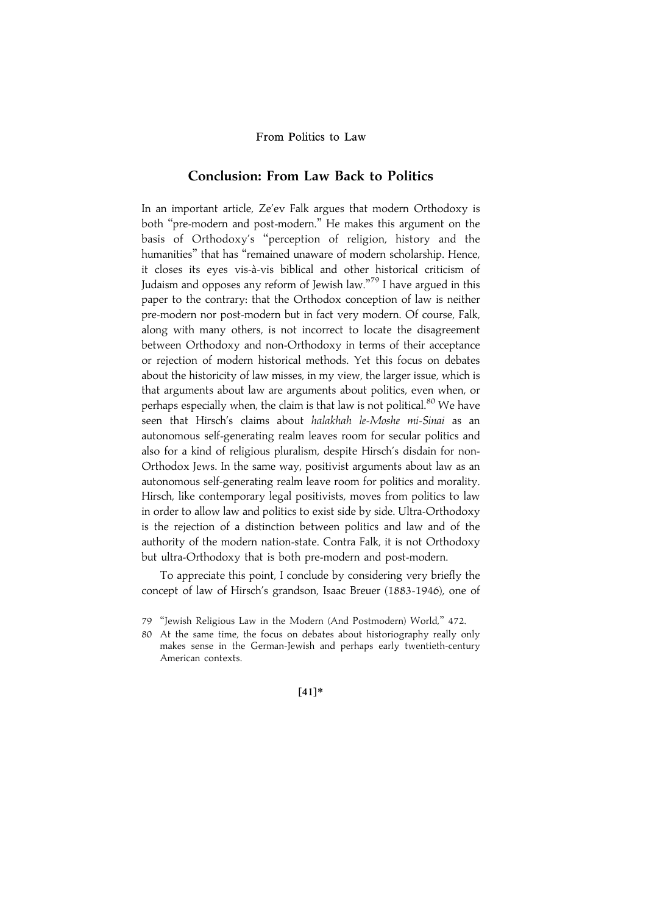# Conclusion: From Law Back to Politics

In an important article, Ze'ev Falk argues that modern Orthodoxy is both ''pre-modern and post-modern.'' He makes this argument on the basis of Orthodoxy's ''perception of religion, history and the humanities'' that has ''remained unaware of modern scholarship. Hence, it closes its eyes vis-a`-vis biblical and other historical criticism of Judaism and opposes any reform of Jewish law."<sup>79</sup> I have argued in this paper to the contrary: that the Orthodox conception of law is neither pre-modern nor post-modern but in fact very modern. Of course, Falk, along with many others, is not incorrect to locate the disagreement between Orthodoxy and non-Orthodoxy in terms of their acceptance or rejection of modern historical methods. Yet this focus on debates about the historicity of law misses, in my view, the larger issue, which is that arguments about law are arguments about politics, even when, or perhaps especially when, the claim is that law is not political.<sup>80</sup> We have seen that Hirsch's claims about halakhah le-Moshe mi-Sinai as an autonomous self-generating realm leaves room for secular politics and also for a kind of religious pluralism, despite Hirsch's disdain for non-Orthodox Jews. In the same way, positivist arguments about law as an autonomous self-generating realm leave room for politics and morality. Hirsch, like contemporary legal positivists, moves from politics to law in order to allow law and politics to exist side by side. Ultra-Orthodoxy is the rejection of a distinction between politics and law and of the authority of the modern nation-state. Contra Falk, it is not Orthodoxy but ultra-Orthodoxy that is both pre-modern and post-modern.

To appreciate this point, I conclude by considering very briefly the concept of law of Hirsch's grandson, Isaac Breuer (1883-1946), one of

80 At the same time, the focus on debates about historiography really only makes sense in the German-Jewish and perhaps early twentieth-century American contexts.

 $[41]*$ 

<sup>79</sup> ''Jewish Religious Law in the Modern (And Postmodern) World,'' 472.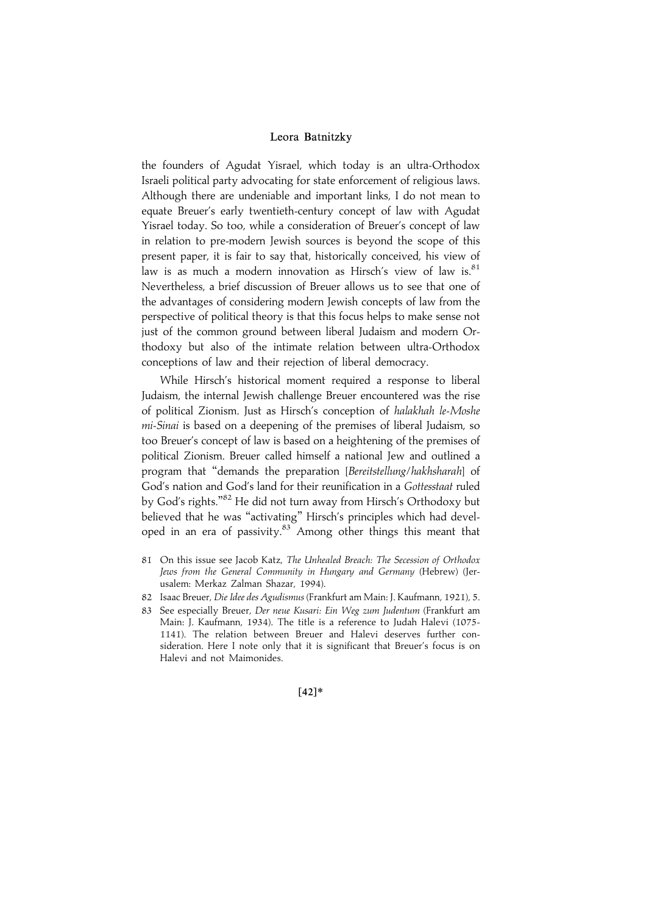the founders of Agudat Yisrael, which today is an ultra-Orthodox Israeli political party advocating for state enforcement of religious laws. Although there are undeniable and important links, I do not mean to equate Breuer's early twentieth-century concept of law with Agudat Yisrael today. So too, while a consideration of Breuer's concept of law in relation to pre-modern Jewish sources is beyond the scope of this present paper, it is fair to say that, historically conceived, his view of law is as much a modern innovation as Hirsch's view of law is.<sup>81</sup> Nevertheless, a brief discussion of Breuer allows us to see that one of the advantages of considering modern Jewish concepts of law from the perspective of political theory is that this focus helps to make sense not just of the common ground between liberal Judaism and modern Orthodoxy but also of the intimate relation between ultra-Orthodox conceptions of law and their rejection of liberal democracy.

While Hirsch's historical moment required a response to liberal Judaism, the internal Jewish challenge Breuer encountered was the rise of political Zionism. Just as Hirsch's conception of halakhah le-Moshe mi-Sinai is based on a deepening of the premises of liberal Judaism, so too Breuer's concept of law is based on a heightening of the premises of political Zionism. Breuer called himself a national Jew and outlined a program that ''demands the preparation [Bereitstellung/hakhsharah] of God's nation and God's land for their reunification in a Gottesstaat ruled by God's rights."<sup>82</sup> He did not turn away from Hirsch's Orthodoxy but believed that he was ''activating'' Hirsch's principles which had developed in an era of passivity.<sup>83</sup> Among other things this meant that

- 81 On this issue see Jacob Katz, The Unhealed Breach: The Secession of Orthodox Jews from the General Community in Hungary and Germany (Hebrew) (Jerusalem: Merkaz Zalman Shazar, 1994).
- 82 Isaac Breuer, Die Idee des Agudismus (Frankfurt am Main: J. Kaufmann, 1921), 5.
- 83 See especially Breuer, Der neue Kusari: Ein Weg zum Judentum (Frankfurt am Main: J. Kaufmann, 1934). The title is a reference to Judah Halevi (1075- 1141). The relation between Breuer and Halevi deserves further consideration. Here I note only that it is significant that Breuer's focus is on Halevi and not Maimonides.

 $[42]*$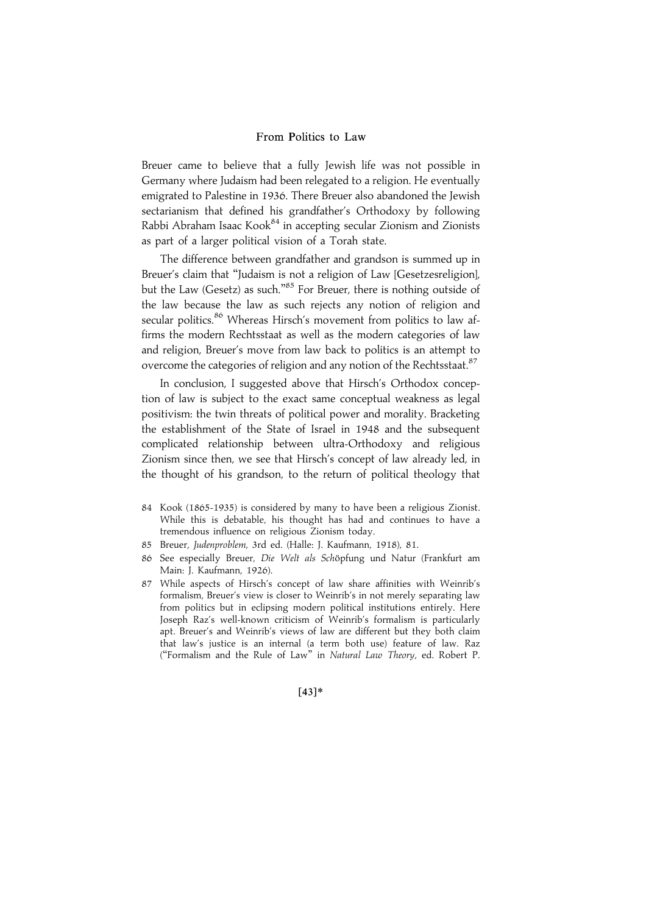Breuer came to believe that a fully Jewish life was not possible in Germany where Judaism had been relegated to a religion. He eventually emigrated to Palestine in 1936. There Breuer also abandoned the Jewish sectarianism that defined his grandfather's Orthodoxy by following Rabbi Abraham Isaac Kook<sup>84</sup> in accepting secular Zionism and Zionists as part of a larger political vision of a Torah state.

The difference between grandfather and grandson is summed up in Breuer's claim that ''Judaism is not a religion of Law [Gesetzesreligion], but the Law (Gesetz) as such."<sup>85</sup> For Breuer, there is nothing outside of the law because the law as such rejects any notion of religion and secular politics.<sup>86</sup> Whereas Hirsch's movement from politics to law affirms the modern Rechtsstaat as well as the modern categories of law and religion, Breuer's move from law back to politics is an attempt to overcome the categories of religion and any notion of the Rechtsstaat.<sup>87</sup>

In conclusion, I suggested above that Hirsch's Orthodox conception of law is subject to the exact same conceptual weakness as legal positivism: the twin threats of political power and morality. Bracketing the establishment of the State of Israel in 1948 and the subsequent complicated relationship between ultra-Orthodoxy and religious Zionism since then, we see that Hirsch's concept of law already led, in the thought of his grandson, to the return of political theology that

- 84 Kook (1865-1935) is considered by many to have been a religious Zionist. While this is debatable, his thought has had and continues to have a tremendous influence on religious Zionism today.
- 85 Breuer, Judenproblem, 3rd ed. (Halle: J. Kaufmann, 1918), 81.
- 86 See especially Breuer, Die Welt als Schöpfung und Natur (Frankfurt am Main: J. Kaufmann, 1926).
- 87 While aspects of Hirsch's concept of law share affinities with Weinrib's formalism, Breuer's view is closer to Weinrib's in not merely separating law from politics but in eclipsing modern political institutions entirely. Here Joseph Raz's well-known criticism of Weinrib's formalism is particularly apt. Breuer's and Weinrib's views of law are different but they both claim that law's justice is an internal (a term both use) feature of law. Raz (''Formalism and the Rule of Law'' in Natural Law Theory, ed. Robert P.

 $[43]*$